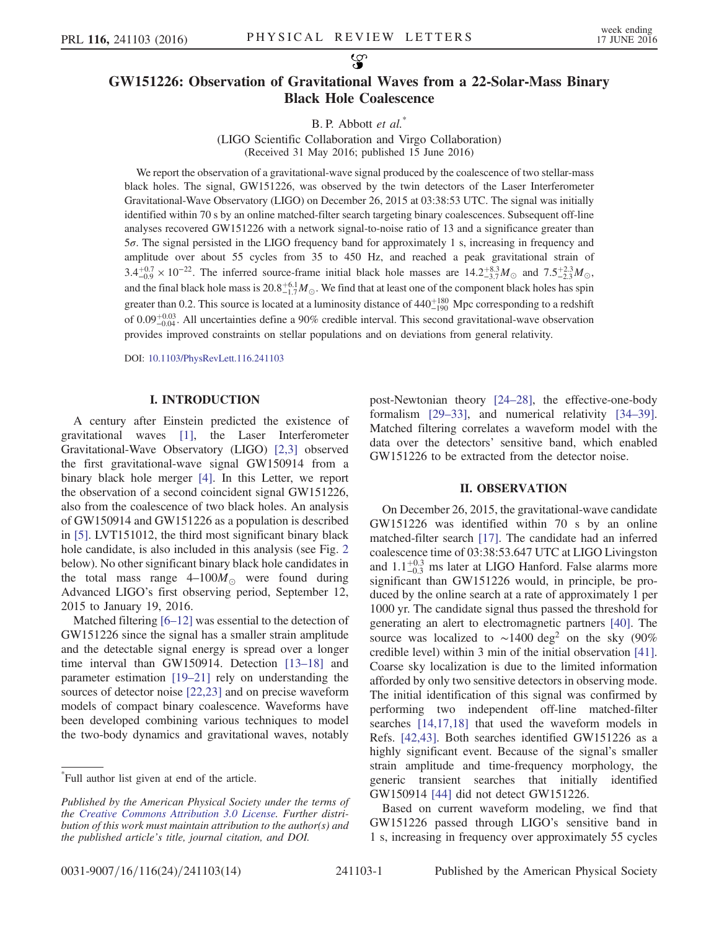# GW151226: Observation of Gravitational Waves from a 22-Solar-Mass Binary Black Hole Coalescence

B. P. Abbott et al.<sup>\*</sup>

(LIGO Scientific Collaboration and Virgo Collaboration) (Received 31 May 2016; published 15 June 2016)

We report the observation of a gravitational-wave signal produced by the coalescence of two stellar-mass black holes. The signal, GW151226, was observed by the twin detectors of the Laser Interferometer Gravitational-Wave Observatory (LIGO) on December 26, 2015 at 03:38:53 UTC. The signal was initially identified within 70 s by an online matched-filter search targeting binary coalescences. Subsequent off-line analyses recovered GW151226 with a network signal-to-noise ratio of 13 and a significance greater than 5σ. The signal persisted in the LIGO frequency band for approximately 1 s, increasing in frequency and amplitude over about 55 cycles from 35 to 450 Hz, and reached a peak gravitational strain of  $3.4_{-0.9}^{+0.7} \times 10^{-22}$ . The inferred source-frame initial black hole masses are  $14.2_{-3.7}^{+8.3} M_{\odot}$  and  $7.5_{-2.3}^{+2.3} M_{\odot}$ , and the final black hole mass is  $20.8_{-1.7}^{+6.1}M_{\odot}$ . We find that at least one of the component black holes has spin greater than 0.2. This source is located at a luminosity distance of  $440^{+180}_{-190}$  Mpc corresponding to a redshift of  $0.09_{-0.04}^{+0.03}$ . All uncertainties define a 90% credible interval. This second gravitational-wave observation provides improved constraints on stellar populations and on deviations from general relativity.

DOI: [10.1103/PhysRevLett.116.241103](http://dx.doi.org/10.1103/PhysRevLett.116.241103)

#### I. INTRODUCTION

A century after Einstein predicted the existence of gravitational waves [\[1\],](#page-6-0) the Laser Interferometer Gravitational-Wave Observatory (LIGO) [\[2,3\]](#page-6-1) observed the first gravitational-wave signal GW150914 from a binary black hole merger [\[4\]](#page-6-2). In this Letter, we report the observation of a second coincident signal GW151226, also from the coalescence of two black holes. An analysis of GW150914 and GW151226 as a population is described in [\[5\]](#page-6-3). LVT151012, the third most significant binary black hole candidate, is also included in this analysis (see Fig. [2](#page-2-0)) below). No other significant binary black hole candidates in the total mass range  $4-100M_{\odot}$  were found during Advanced LIGO's first observing period, September 12, 2015 to January 19, 2016.

Matched filtering [6–[12\]](#page-6-4) was essential to the detection of GW151226 since the signal has a smaller strain amplitude and the detectable signal energy is spread over a longer time interval than GW150914. Detection [13–[18\]](#page-6-5) and parameter estimation [\[19](#page-6-6)–21] rely on understanding the sources of detector noise [\[22,23\]](#page-6-7) and on precise waveform models of compact binary coalescence. Waveforms have been developed combining various techniques to model the two-body dynamics and gravitational waves, notably

\* Full author list given at end of the article.

post-Newtonian theory [24–[28\],](#page-6-8) the effective-one-body formalism [\[29](#page-6-9)–33], and numerical relativity [\[34](#page-7-0)–39]. Matched filtering correlates a waveform model with the data over the detectors' sensitive band, which enabled GW151226 to be extracted from the detector noise.

#### II. OBSERVATION

On December 26, 2015, the gravitational-wave candidate GW151226 was identified within 70 s by an online matched-filter search [\[17\].](#page-6-10) The candidate had an inferred coalescence time of 03:38:53.647 UTC at LIGO Livingston and  $1.1^{+0.3}_{-0.3}$  ms later at LIGO Hanford. False alarms more significant than GW151226 would, in principle, be produced by the online search at a rate of approximately 1 per 1000 yr. The candidate signal thus passed the threshold for generating an alert to electromagnetic partners [\[40\].](#page-7-1) The source was localized to ~1400 deg<sup>2</sup> on the sky (90% credible level) within 3 min of the initial observation [\[41\]](#page-7-2). Coarse sky localization is due to the limited information afforded by only two sensitive detectors in observing mode. The initial identification of this signal was confirmed by performing two independent off-line matched-filter searches [\[14,17,18\]](#page-6-11) that used the waveform models in Refs. [\[42,43\].](#page-7-3) Both searches identified GW151226 as a highly significant event. Because of the signal's smaller strain amplitude and time-frequency morphology, the generic transient searches that initially identified GW150914 [\[44\]](#page-7-4) did not detect GW151226.

Based on current waveform modeling, we find that GW151226 passed through LIGO's sensitive band in 1 s, increasing in frequency over approximately 55 cycles

Published by the American Physical Society under the terms of the [Creative Commons Attribution 3.0 License.](http://creativecommons.org/licenses/by/3.0/) Further distribution of this work must maintain attribution to the author(s) and the published article's title, journal citation, and DOI.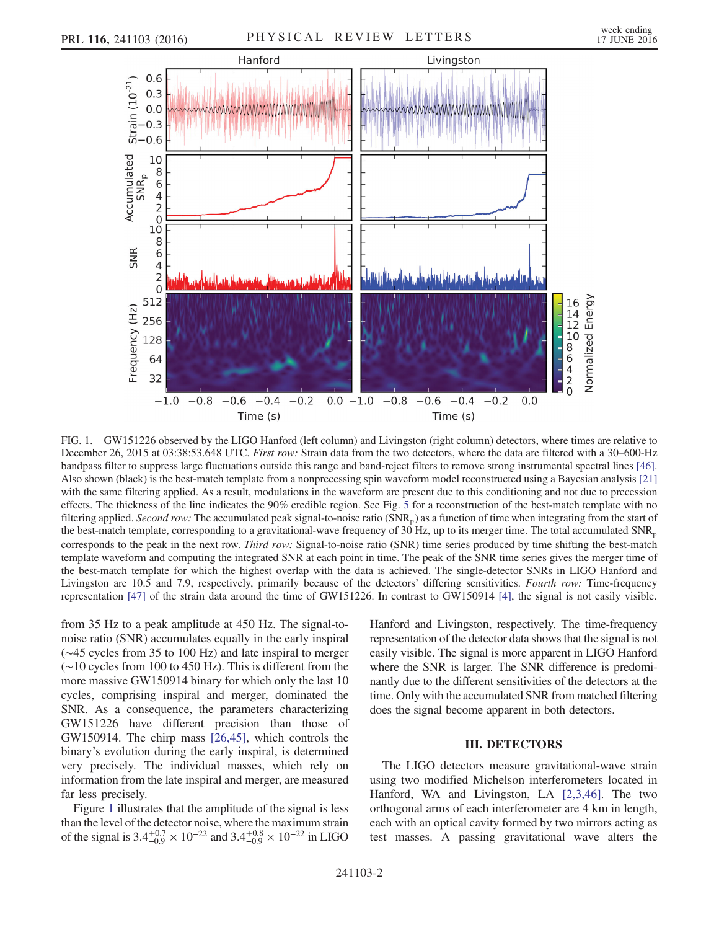<span id="page-1-0"></span>

FIG. 1. GW151226 observed by the LIGO Hanford (left column) and Livingston (right column) detectors, where times are relative to December 26, 2015 at 03:38:53.648 UTC. First row: Strain data from the two detectors, where the data are filtered with a 30–600-Hz bandpass filter to suppress large fluctuations outside this range and band-reject filters to remove strong instrumental spectral lines [\[46\].](#page-7-5) Also shown (black) is the best-match template from a nonprecessing spin waveform model reconstructed using a Bayesian analysis [\[21\]](#page-6-13) with the same filtering applied. As a result, modulations in the waveform are present due to this conditioning and not due to precession effects. The thickness of the line indicates the 90% credible region. See Fig. [5](#page-5-0) for a reconstruction of the best-match template with no filtering applied. Second row: The accumulated peak signal-to-noise ratio  $(SNR_p)$  as a function of time when integrating from the start of the best-match template, corresponding to a gravitational-wave frequency of 30 Hz, up to its merger time. The total accumulated  $SNR<sub>p</sub>$ corresponds to the peak in the next row. Third row: Signal-to-noise ratio (SNR) time series produced by time shifting the best-match template waveform and computing the integrated SNR at each point in time. The peak of the SNR time series gives the merger time of the best-match template for which the highest overlap with the data is achieved. The single-detector SNRs in LIGO Hanford and Livingston are 10.5 and 7.9, respectively, primarily because of the detectors' differing sensitivities. Fourth row: Time-frequency representation [\[47\]](#page-7-6) of the strain data around the time of GW151226. In contrast to GW150914 [\[4\],](#page-6-2) the signal is not easily visible.

from 35 Hz to a peak amplitude at 450 Hz. The signal-tonoise ratio (SNR) accumulates equally in the early inspiral (∼45 cycles from 35 to 100 Hz) and late inspiral to merger (∼10 cycles from 100 to 450 Hz). This is different from the more massive GW150914 binary for which only the last 10 cycles, comprising inspiral and merger, dominated the SNR. As a consequence, the parameters characterizing GW151226 have different precision than those of GW150914. The chirp mass [\[26,45\],](#page-6-12) which controls the binary's evolution during the early inspiral, is determined very precisely. The individual masses, which rely on information from the late inspiral and merger, are measured far less precisely.

Figure [1](#page-1-0) illustrates that the amplitude of the signal is less than the level of the detector noise, where the maximum strain of the signal is  $3.4^{+0.7}_{-0.9} \times 10^{-22}$  and  $3.4^{+0.8}_{-0.9} \times 10^{-22}$  in LIGO Hanford and Livingston, respectively. The time-frequency representation of the detector data shows that the signal is not easily visible. The signal is more apparent in LIGO Hanford where the SNR is larger. The SNR difference is predominantly due to the different sensitivities of the detectors at the time. Only with the accumulated SNR from matched filtering does the signal become apparent in both detectors.

### III. DETECTORS

The LIGO detectors measure gravitational-wave strain using two modified Michelson interferometers located in Hanford, WA and Livingston, LA [\[2,3,46\].](#page-6-1) The two orthogonal arms of each interferometer are 4 km in length, each with an optical cavity formed by two mirrors acting as test masses. A passing gravitational wave alters the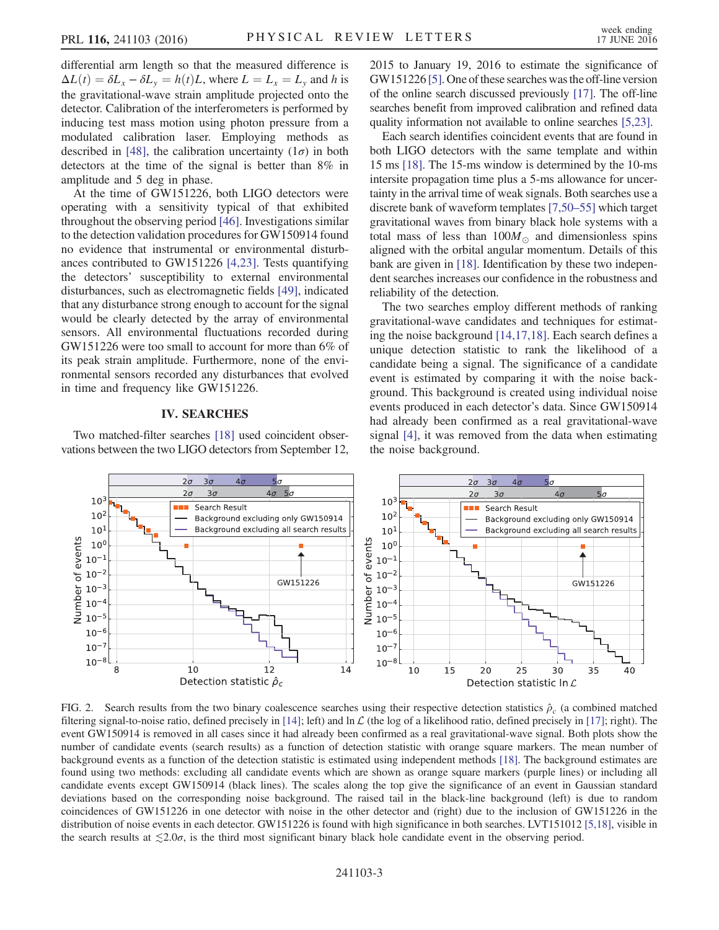differential arm length so that the measured difference is  $\Delta L(t) = \delta L_x - \delta L_y = h(t)L$ , where  $L = L_x = L_y$  and h is the gravitational-wave strain amplitude projected onto the detector. Calibration of the interferometers is performed by inducing test mass motion using photon pressure from a modulated calibration laser. Employing methods as described in [\[48\]](#page-7-7), the calibration uncertainty  $(1\sigma)$  in both detectors at the time of the signal is better than 8% in amplitude and 5 deg in phase.

At the time of GW151226, both LIGO detectors were operating with a sensitivity typical of that exhibited throughout the observing period [\[46\].](#page-7-5) Investigations similar to the detection validation procedures for GW150914 found no evidence that instrumental or environmental disturbances contributed to GW151226 [\[4,23\]](#page-6-2). Tests quantifying the detectors' susceptibility to external environmental disturbances, such as electromagnetic fields [\[49\],](#page-7-8) indicated that any disturbance strong enough to account for the signal would be clearly detected by the array of environmental sensors. All environmental fluctuations recorded during GW151226 were too small to account for more than 6% of its peak strain amplitude. Furthermore, none of the environmental sensors recorded any disturbances that evolved in time and frequency like GW151226.

### IV. SEARCHES

Two matched-filter searches [\[18\]](#page-6-14) used coincident observations between the two LIGO detectors from September 12, 2015 to January 19, 2016 to estimate the significance of GW151226 [\[5\]](#page-6-3). One of these searches was the off-line version of the online search discussed previously [\[17\]](#page-6-10). The off-line searches benefit from improved calibration and refined data quality information not available to online searches [\[5,23\].](#page-6-3)

Each search identifies coincident events that are found in both LIGO detectors with the same template and within 15 ms [\[18\].](#page-6-14) The 15-ms window is determined by the 10-ms intersite propagation time plus a 5-ms allowance for uncertainty in the arrival time of weak signals. Both searches use a discrete bank of waveform templates [\[7,50](#page-6-15)–55] which target gravitational waves from binary black hole systems with a total mass of less than  $100M_{\odot}$  and dimensionless spins aligned with the orbital angular momentum. Details of this bank are given in [\[18\]](#page-6-14). Identification by these two independent searches increases our confidence in the robustness and reliability of the detection.

The two searches employ different methods of ranking gravitational-wave candidates and techniques for estimating the noise background [\[14,17,18\].](#page-6-11) Each search defines a unique detection statistic to rank the likelihood of a candidate being a signal. The significance of a candidate event is estimated by comparing it with the noise background. This background is created using individual noise events produced in each detector's data. Since GW150914 had already been confirmed as a real gravitational-wave signal [\[4\]](#page-6-2), it was removed from the data when estimating the noise background.

<span id="page-2-0"></span>

FIG. 2. Search results from the two binary coalescence searches using their respective detection statistics  $\hat{\rho}_c$  (a combined matched filtering signal-to-noise ratio, defined precisely in [\[14\]](#page-6-11); left) and ln  $\mathcal L$  (the log of a likelihood ratio, defined precisely in [\[17\];](#page-6-10) right). The event GW150914 is removed in all cases since it had already been confirmed as a real gravitational-wave signal. Both plots show the number of candidate events (search results) as a function of detection statistic with orange square markers. The mean number of background events as a function of the detection statistic is estimated using independent methods [\[18\]](#page-6-14). The background estimates are found using two methods: excluding all candidate events which are shown as orange square markers (purple lines) or including all candidate events except GW150914 (black lines). The scales along the top give the significance of an event in Gaussian standard deviations based on the corresponding noise background. The raised tail in the black-line background (left) is due to random coincidences of GW151226 in one detector with noise in the other detector and (right) due to the inclusion of GW151226 in the distribution of noise events in each detector. GW151226 is found with high significance in both searches. LVT151012 [\[5,18\],](#page-6-3) visible in the search results at  $\leq 2.0\sigma$ , is the third most significant binary black hole candidate event in the observing period.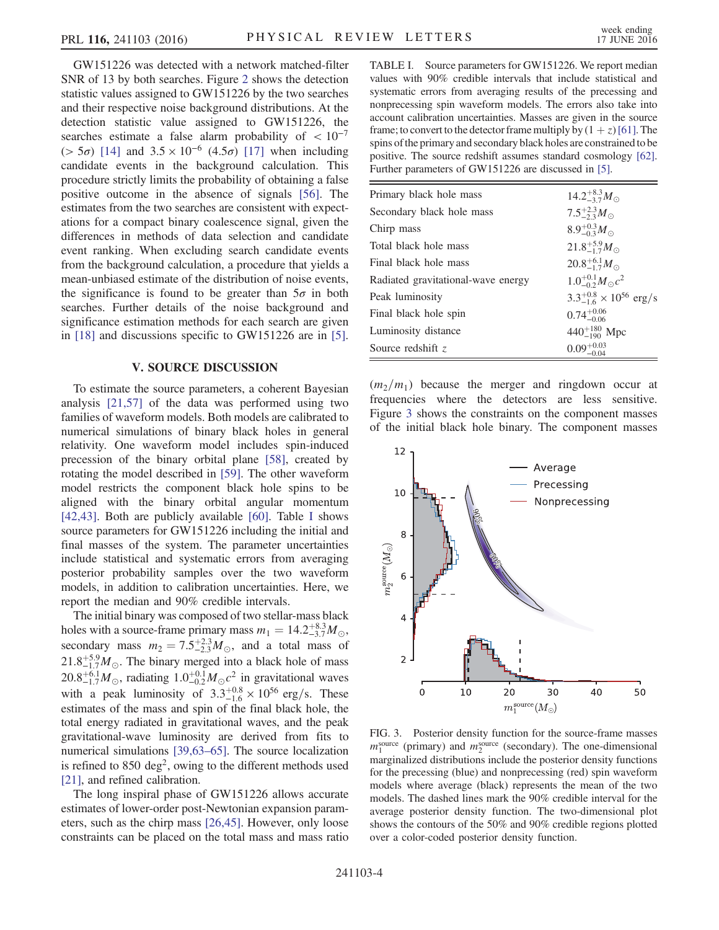GW151226 was detected with a network matched-filter SNR of 13 by both searches. Figure [2](#page-2-0) shows the detection statistic values assigned to GW151226 by the two searches and their respective noise background distributions. At the detection statistic value assigned to GW151226, the searches estimate a false alarm probability of  $\langle 10^{-7} \rangle$ (>  $5\sigma$ ) [\[14\]](#page-6-11) and  $3.5 \times 10^{-6}$  (4.5 $\sigma$ ) [\[17\]](#page-6-10) when including candidate events in the background calculation. This procedure strictly limits the probability of obtaining a false positive outcome in the absence of signals [\[56\]](#page-7-9). The estimates from the two searches are consistent with expectations for a compact binary coalescence signal, given the differences in methods of data selection and candidate event ranking. When excluding search candidate events from the background calculation, a procedure that yields a mean-unbiased estimate of the distribution of noise events, the significance is found to be greater than  $5\sigma$  in both searches. Further details of the noise background and significance estimation methods for each search are given in [\[18\]](#page-6-14) and discussions specific to GW151226 are in [\[5\]](#page-6-3).

## V. SOURCE DISCUSSION

To estimate the source parameters, a coherent Bayesian analysis [\[21,57\]](#page-6-13) of the data was performed using two families of waveform models. Both models are calibrated to numerical simulations of binary black holes in general relativity. One waveform model includes spin-induced precession of the binary orbital plane [\[58\]](#page-7-10), created by rotating the model described in [\[59\].](#page-7-11) The other waveform model restricts the component black hole spins to be aligned with the binary orbital angular momentum [\[42,43\]](#page-7-3). Both are publicly available [\[60\].](#page-7-12) Table [I](#page-3-0) shows source parameters for GW151226 including the initial and final masses of the system. The parameter uncertainties include statistical and systematic errors from averaging posterior probability samples over the two waveform models, in addition to calibration uncertainties. Here, we report the median and 90% credible intervals.

The initial binary was composed of two stellar-mass black holes with a source-frame primary mass  $m_1 = 14.2^{+8.3}_{-3.7}M_{\odot}$ , secondary mass  $m_2 = 7.5^{+2.3}_{-2.3}M_{\odot}$ , and a total mass of 21.8<sup> $+5.9$ </sup> $M_{\odot}$ . The binary merged into a black hole of mass 20.8<sup>+6.1</sup> $M_{\odot}$ , radiating  $1.0^{+0.1}_{-0.2} M_{\odot} c^2$  in gravitational waves with a peak luminosity of  $3.3^{+0.8}_{-1.6} \times 10^{56}$  erg/s. These estimates of the mass and spin of the final black hole, the total energy radiated in gravitational waves, and the peak gravitational-wave luminosity are derived from fits to numerical simulations [\[39,63](#page-7-13)–65]. The source localization is refined to  $850 \text{ deg}^2$ , owing to the different methods used [\[21\]](#page-6-13), and refined calibration.

The long inspiral phase of GW151226 allows accurate estimates of lower-order post-Newtonian expansion parameters, such as the chirp mass [\[26,45\]](#page-6-12). However, only loose constraints can be placed on the total mass and mass ratio <span id="page-3-0"></span>TABLE I. Source parameters for GW151226. We report median values with 90% credible intervals that include statistical and systematic errors from averaging results of the precessing and nonprecessing spin waveform models. The errors also take into account calibration uncertainties. Masses are given in the source frame; to convert to the detector frame multiply by  $(1 + z)$  [\[61\].](#page-7-14) The spins of the primary and secondary black holes are constrained to be positive. The source redshift assumes standard cosmology [\[62\].](#page-7-15) Further parameters of GW151226 are discussed in [\[5\].](#page-6-3)

| Primary black hole mass            | $14.2^{+8.3}_{-3.7}M_{\odot}$            |
|------------------------------------|------------------------------------------|
| Secondary black hole mass          | $7.5^{+2.3}_{-2.3}M_{\odot}$             |
| Chirp mass                         | $8.9^{+0.3}_{-0.3}M_{\odot}$             |
| Total black hole mass              | $21.8^{+5.9}_{-1.7}M_{\odot}$            |
| Final black hole mass              | $20.8^{+6.1}_{-1.7}M_{\odot}$            |
| Radiated gravitational-wave energy | $1.0^{+0.1}_{-0.2}M_{\odot}c^2$          |
| Peak luminosity                    | $3.3^{+0.8}_{-1.6} \times 10^{56}$ erg/s |
| Final black hole spin              | $0.74^{+0.06}_{-0.06}$                   |
| Luminosity distance                | $440^{+180}_{-190}$ Mpc                  |
| Source redshift z                  | $0.09^{+0.03}_{-0.04}$                   |

 $(m_2/m_1)$  because the merger and ringdown occur at frequencies where the detectors are less sensitive. Figure [3](#page-3-1) shows the constraints on the component masses of the initial black hole binary. The component masses

<span id="page-3-1"></span>

FIG. 3. Posterior density function for the source-frame masses  $m_1^{\text{source}}$  (primary) and  $m_2^{\text{source}}$  (secondary). The one-dimensional marginalized distributions include the posterior density functions for the precessing (blue) and nonprecessing (red) spin waveform models where average (black) represents the mean of the two models. The dashed lines mark the 90% credible interval for the average posterior density function. The two-dimensional plot shows the contours of the 50% and 90% credible regions plotted over a color-coded posterior density function.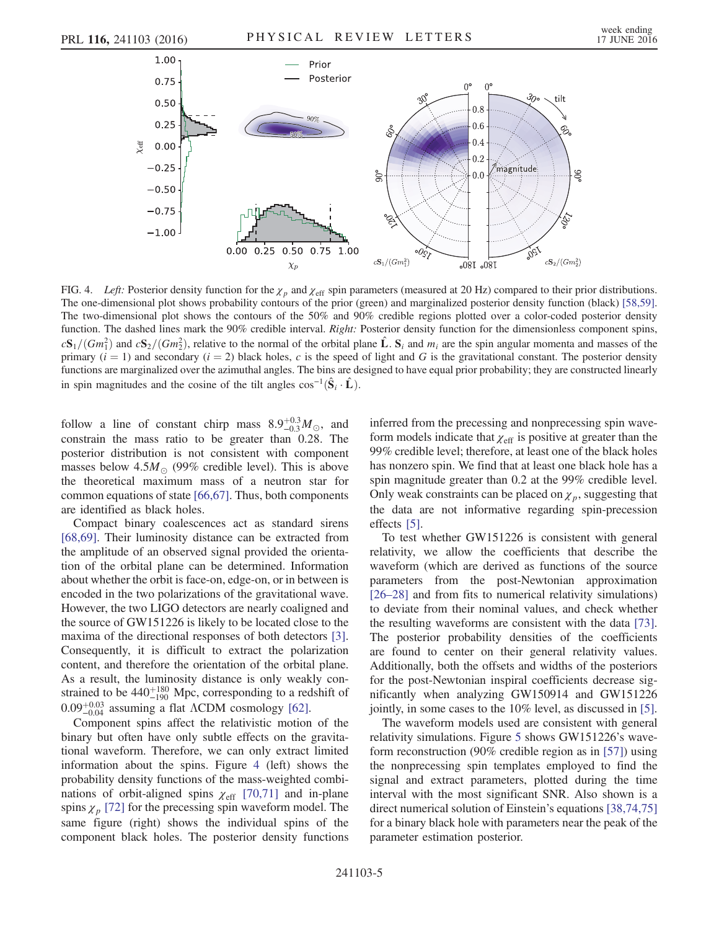<span id="page-4-0"></span>

FIG. 4. Left: Posterior density function for the  $\chi_p$  and  $\chi_{\text{eff}}$  spin parameters (measured at 20 Hz) compared to their prior distributions. The one-dimensional plot shows probability contours of the prior (green) and marginalized posterior density function (black) [\[58,59\].](#page-7-10) The two-dimensional plot shows the contours of the 50% and 90% credible regions plotted over a color-coded posterior density function. The dashed lines mark the 90% credible interval. Right: Posterior density function for the dimensionless component spins,  $c\mathbf{S}_1/(Gm_1^2)$  and  $c\mathbf{S}_2/(Gm_2^2)$ , relative to the normal of the orbital plane  $\hat{\mathbf{L}}$ .  $\mathbf{S}_i$  and  $m_i$  are the spin angular momenta and masses of the primary  $(i = 1)$  and secondary  $(i = 2)$  black holes, c is the speed of light and G is the gravitational constant. The posterior density functions are marginalized over the azimuthal angles. The bins are designed to have equal prior probability; they are constructed linearly in spin magnitudes and the cosine of the tilt angles  $\cos^{-1}(\hat{S}_i \cdot \hat{L})$ .

follow a line of constant chirp mass  $8.9^{+0.3}_{-0.3}M_{\odot}$ , and constrain the mass ratio to be greater than 0.28. The posterior distribution is not consistent with component masses below 4.5 $M_{\odot}$  (99% credible level). This is above the theoretical maximum mass of a neutron star for common equations of state [\[66,67\]](#page-7-16). Thus, both components are identified as black holes.

Compact binary coalescences act as standard sirens [\[68,69\]](#page-7-17). Their luminosity distance can be extracted from the amplitude of an observed signal provided the orientation of the orbital plane can be determined. Information about whether the orbit is face-on, edge-on, or in between is encoded in the two polarizations of the gravitational wave. However, the two LIGO detectors are nearly coaligned and the source of GW151226 is likely to be located close to the maxima of the directional responses of both detectors [\[3\]](#page-6-16). Consequently, it is difficult to extract the polarization content, and therefore the orientation of the orbital plane. As a result, the luminosity distance is only weakly constrained to be  $440^{+180}_{-190}$  Mpc, corresponding to a redshift of  $0.09^{+0.03}_{-0.04}$  assuming a flat  $\Lambda$ CDM cosmology [\[62\].](#page-7-15)

Component spins affect the relativistic motion of the binary but often have only subtle effects on the gravitational waveform. Therefore, we can only extract limited information about the spins. Figure [4](#page-4-0) (left) shows the probability density functions of the mass-weighted combinations of orbit-aligned spins  $\chi_{\text{eff}}$  [\[70,71\]](#page-7-18) and in-plane spins  $\chi_p$  [\[72\]](#page-7-19) for the precessing spin waveform model. The same figure (right) shows the individual spins of the component black holes. The posterior density functions inferred from the precessing and nonprecessing spin waveform models indicate that  $\chi_{\text{eff}}$  is positive at greater than the 99% credible level; therefore, at least one of the black holes has nonzero spin. We find that at least one black hole has a spin magnitude greater than 0.2 at the 99% credible level. Only weak constraints can be placed on  $\chi_p$ , suggesting that the data are not informative regarding spin-precession effects [\[5\].](#page-6-3)

To test whether GW151226 is consistent with general relativity, we allow the coefficients that describe the waveform (which are derived as functions of the source parameters from the post-Newtonian approximation [\[26](#page-6-12)–28] and from fits to numerical relativity simulations) to deviate from their nominal values, and check whether the resulting waveforms are consistent with the data [\[73\]](#page-7-20). The posterior probability densities of the coefficients are found to center on their general relativity values. Additionally, both the offsets and widths of the posteriors for the post-Newtonian inspiral coefficients decrease significantly when analyzing GW150914 and GW151226 jointly, in some cases to the 10% level, as discussed in [\[5\]](#page-6-3).

The waveform models used are consistent with general relativity simulations. Figure [5](#page-5-0) shows GW151226's waveform reconstruction (90% credible region as in [\[57\]](#page-7-21)) using the nonprecessing spin templates employed to find the signal and extract parameters, plotted during the time interval with the most significant SNR. Also shown is a direct numerical solution of Einstein's equations [\[38,74,75\]](#page-7-22) for a binary black hole with parameters near the peak of the parameter estimation posterior.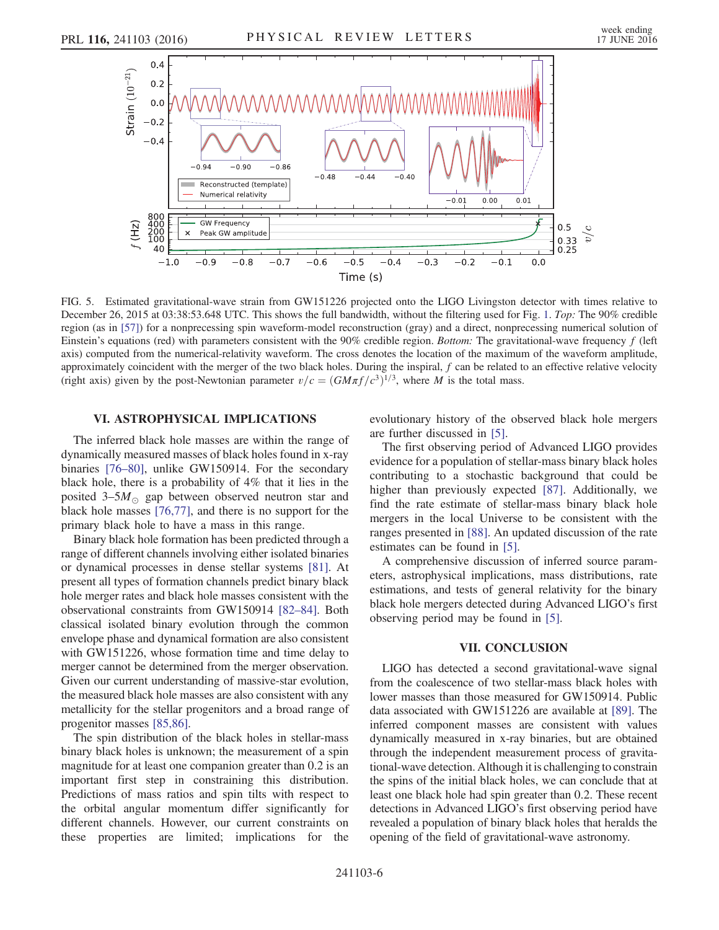<span id="page-5-0"></span>

FIG. 5. Estimated gravitational-wave strain from GW151226 projected onto the LIGO Livingston detector with times relative to December 26, 2015 at 03:38:53.648 UTC. This shows the full bandwidth, without the filtering used for Fig. [1.](#page-1-0) Top: The 90% credible region (as in [\[57\]\)](#page-7-21) for a nonprecessing spin waveform-model reconstruction (gray) and a direct, nonprecessing numerical solution of Einstein's equations (red) with parameters consistent with the 90% credible region. Bottom: The gravitational-wave frequency f (left axis) computed from the numerical-relativity waveform. The cross denotes the location of the maximum of the waveform amplitude, approximately coincident with the merger of the two black holes. During the inspiral, f can be related to an effective relative velocity (right axis) given by the post-Newtonian parameter  $v/c = (GM\pi f/c^3)^{1/3}$ , where M is the total mass.

### VI. ASTROPHYSICAL IMPLICATIONS

The inferred black hole masses are within the range of dynamically measured masses of black holes found in x-ray binaries [76–[80\],](#page-7-23) unlike GW150914. For the secondary black hole, there is a probability of 4% that it lies in the posited 3–5 $M_{\odot}$  gap between observed neutron star and black hole masses [\[76,77\]](#page-7-23), and there is no support for the primary black hole to have a mass in this range.

Binary black hole formation has been predicted through a range of different channels involving either isolated binaries or dynamical processes in dense stellar systems [\[81\].](#page-7-24) At present all types of formation channels predict binary black hole merger rates and black hole masses consistent with the observational constraints from GW150914 [\[82](#page-7-25)–84]. Both classical isolated binary evolution through the common envelope phase and dynamical formation are also consistent with GW151226, whose formation time and time delay to merger cannot be determined from the merger observation. Given our current understanding of massive-star evolution, the measured black hole masses are also consistent with any metallicity for the stellar progenitors and a broad range of progenitor masses [\[85,86\]](#page-7-26).

The spin distribution of the black holes in stellar-mass binary black holes is unknown; the measurement of a spin magnitude for at least one companion greater than 0.2 is an important first step in constraining this distribution. Predictions of mass ratios and spin tilts with respect to the orbital angular momentum differ significantly for different channels. However, our current constraints on these properties are limited; implications for the evolutionary history of the observed black hole mergers are further discussed in [\[5\]](#page-6-3).

The first observing period of Advanced LIGO provides evidence for a population of stellar-mass binary black holes contributing to a stochastic background that could be higher than previously expected [\[87\].](#page-8-0) Additionally, we find the rate estimate of stellar-mass binary black hole mergers in the local Universe to be consistent with the ranges presented in [\[88\]](#page-8-1). An updated discussion of the rate estimates can be found in [\[5\]](#page-6-3).

A comprehensive discussion of inferred source parameters, astrophysical implications, mass distributions, rate estimations, and tests of general relativity for the binary black hole mergers detected during Advanced LIGO's first observing period may be found in [\[5\].](#page-6-3)

#### VII. CONCLUSION

LIGO has detected a second gravitational-wave signal from the coalescence of two stellar-mass black holes with lower masses than those measured for GW150914. Public data associated with GW151226 are available at [\[89\].](#page-8-2) The inferred component masses are consistent with values dynamically measured in x-ray binaries, but are obtained through the independent measurement process of gravitational-wave detection. Although it is challenging to constrain the spins of the initial black holes, we can conclude that at least one black hole had spin greater than 0.2. These recent detections in Advanced LIGO's first observing period have revealed a population of binary black holes that heralds the opening of the field of gravitational-wave astronomy.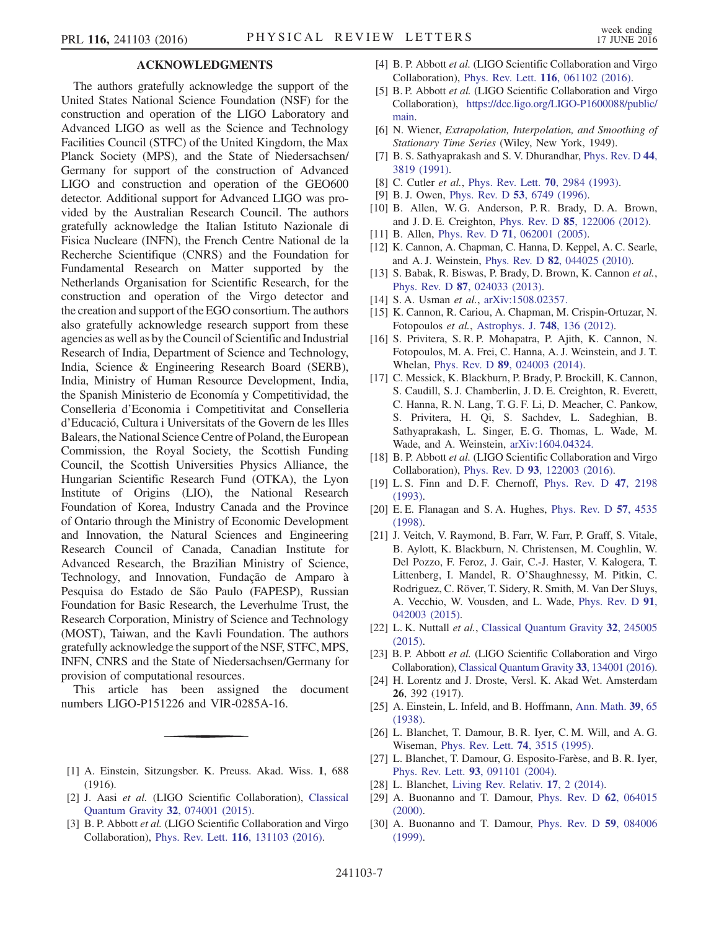### ACKNOWLEDGMENTS

The authors gratefully acknowledge the support of the United States National Science Foundation (NSF) for the construction and operation of the LIGO Laboratory and Advanced LIGO as well as the Science and Technology Facilities Council (STFC) of the United Kingdom, the Max Planck Society (MPS), and the State of Niedersachsen/ Germany for support of the construction of Advanced LIGO and construction and operation of the GEO600 detector. Additional support for Advanced LIGO was provided by the Australian Research Council. The authors gratefully acknowledge the Italian Istituto Nazionale di Fisica Nucleare (INFN), the French Centre National de la Recherche Scientifique (CNRS) and the Foundation for Fundamental Research on Matter supported by the Netherlands Organisation for Scientific Research, for the construction and operation of the Virgo detector and the creation and support of the EGO consortium. The authors also gratefully acknowledge research support from these agencies as well as by the Council of Scientific and Industrial Research of India, Department of Science and Technology, India, Science & Engineering Research Board (SERB), India, Ministry of Human Resource Development, India, the Spanish Ministerio de Economía y Competitividad, the Conselleria d'Economia i Competitivitat and Conselleria d'Educació, Cultura i Universitats of the Govern de les Illes Balears, the National Science Centre of Poland, the European Commission, the Royal Society, the Scottish Funding Council, the Scottish Universities Physics Alliance, the Hungarian Scientific Research Fund (OTKA), the Lyon Institute of Origins (LIO), the National Research Foundation of Korea, Industry Canada and the Province of Ontario through the Ministry of Economic Development and Innovation, the Natural Sciences and Engineering Research Council of Canada, Canadian Institute for Advanced Research, the Brazilian Ministry of Science, Technology, and Innovation, Fundação de Amparo à Pesquisa do Estado de São Paulo (FAPESP), Russian Foundation for Basic Research, the Leverhulme Trust, the Research Corporation, Ministry of Science and Technology (MOST), Taiwan, and the Kavli Foundation. The authors gratefully acknowledge the support of the NSF, STFC, MPS, INFN, CNRS and the State of Niedersachsen/Germany for provision of computational resources.

This article has been assigned the document numbers LIGO-P151226 and VIR-0285A-16.

- <span id="page-6-1"></span><span id="page-6-0"></span>[1] A. Einstein, Sitzungsber. K. Preuss. Akad. Wiss. 1, 688 (1916).
- <span id="page-6-16"></span>[2] J. Aasi et al. (LIGO Scientific Collaboration), [Classical](http://dx.doi.org/10.1088/0264-9381/32/7/074001) [Quantum Gravity](http://dx.doi.org/10.1088/0264-9381/32/7/074001) 32, 074001 (2015).
- [3] B. P. Abbott et al. (LIGO Scientific Collaboration and Virgo Collaboration), Phys. Rev. Lett. 116[, 131103 \(2016\)](http://dx.doi.org/10.1103/PhysRevLett.116.131103).
- <span id="page-6-2"></span>[4] B. P. Abbott et al. (LIGO Scientific Collaboration and Virgo Collaboration), Phys. Rev. Lett. 116[, 061102 \(2016\)](http://dx.doi.org/10.1103/PhysRevLett.116.061102).
- <span id="page-6-3"></span>[5] B. P. Abbott et al. (LIGO Scientific Collaboration and Virgo Collaboration), [https://dcc.ligo.org/LIGO](https://dcc.ligo.org/LIGO-P1600088/public/main)‑P1600088/public/ [main.](https://dcc.ligo.org/LIGO-P1600088/public/main)
- <span id="page-6-4"></span>[6] N. Wiener, Extrapolation, Interpolation, and Smoothing of Stationary Time Series (Wiley, New York, 1949).
- <span id="page-6-15"></span>[7] B. S. Sathyaprakash and S. V. Dhurandhar, [Phys. Rev. D](http://dx.doi.org/10.1103/PhysRevD.44.3819) 44, [3819 \(1991\)](http://dx.doi.org/10.1103/PhysRevD.44.3819).
- [8] C. Cutler *et al.*, [Phys. Rev. Lett.](http://dx.doi.org/10.1103/PhysRevLett.70.2984) **70**, 2984 (1993).
- [9] B. J. Owen, Phys. Rev. D **53**[, 6749 \(1996\)](http://dx.doi.org/10.1103/PhysRevD.53.6749).
- [10] B. Allen, W. G. Anderson, P. R. Brady, D. A. Brown, and J. D. E. Creighton, Phys. Rev. D 85[, 122006 \(2012\)](http://dx.doi.org/10.1103/PhysRevD.85.122006).
- [11] B. Allen, Phys. Rev. D **71**[, 062001 \(2005\)](http://dx.doi.org/10.1103/PhysRevD.71.062001).
- [12] K. Cannon, A. Chapman, C. Hanna, D. Keppel, A. C. Searle, and A. J. Weinstein, Phys. Rev. D 82[, 044025 \(2010\).](http://dx.doi.org/10.1103/PhysRevD.82.044025)
- <span id="page-6-5"></span>[13] S. Babak, R. Biswas, P. Brady, D. Brown, K. Cannon et al., Phys. Rev. D 87[, 024033 \(2013\)](http://dx.doi.org/10.1103/PhysRevD.87.024033).
- <span id="page-6-11"></span>[14] S.A. Usman et al., [arXiv:1508.02357.](http://arXiv.org/abs/1508.02357)
- [15] K. Cannon, R. Cariou, A. Chapman, M. Crispin-Ortuzar, N. Fotopoulos et al., [Astrophys. J.](http://dx.doi.org/10.1088/0004-637X/748/2/136) 748, 136 (2012).
- [16] S. Privitera, S. R. P. Mohapatra, P. Ajith, K. Cannon, N. Fotopoulos, M. A. Frei, C. Hanna, A. J. Weinstein, and J. T. Whelan, Phys. Rev. D 89[, 024003 \(2014\)](http://dx.doi.org/10.1103/PhysRevD.89.024003).
- <span id="page-6-10"></span>[17] C. Messick, K. Blackburn, P. Brady, P. Brockill, K. Cannon, S. Caudill, S. J. Chamberlin, J. D. E. Creighton, R. Everett, C. Hanna, R. N. Lang, T. G. F. Li, D. Meacher, C. Pankow, S. Privitera, H. Qi, S. Sachdev, L. Sadeghian, B. Sathyaprakash, L. Singer, E. G. Thomas, L. Wade, M. Wade, and A. Weinstein, [arXiv:1604.04324.](http://arXiv.org/abs/1604.04324)
- <span id="page-6-14"></span>[18] B. P. Abbott et al. (LIGO Scientific Collaboration and Virgo Collaboration), Phys. Rev. D 93[, 122003 \(2016\)](http://dx.doi.org/10.1103/PhysRevD.93.122003).
- <span id="page-6-6"></span>[19] L. S. Finn and D. F. Chernoff, [Phys. Rev. D](http://dx.doi.org/10.1103/PhysRevD.47.2198) 47, 2198 [\(1993\).](http://dx.doi.org/10.1103/PhysRevD.47.2198)
- [20] E. E. Flanagan and S. A. Hughes, [Phys. Rev. D](http://dx.doi.org/10.1103/PhysRevD.57.4535) 57, 4535 [\(1998\).](http://dx.doi.org/10.1103/PhysRevD.57.4535)
- <span id="page-6-13"></span>[21] J. Veitch, V. Raymond, B. Farr, W. Farr, P. Graff, S. Vitale, B. Aylott, K. Blackburn, N. Christensen, M. Coughlin, W. Del Pozzo, F. Feroz, J. Gair, C.-J. Haster, V. Kalogera, T. Littenberg, I. Mandel, R. O'Shaughnessy, M. Pitkin, C. Rodriguez, C. Röver, T. Sidery, R. Smith, M. Van Der Sluys, A. Vecchio, W. Vousden, and L. Wade, [Phys. Rev. D](http://dx.doi.org/10.1103/PhysRevD.91.042003) 91, [042003 \(2015\).](http://dx.doi.org/10.1103/PhysRevD.91.042003)
- <span id="page-6-7"></span>[22] L. K. Nuttall et al., [Classical Quantum Gravity](http://dx.doi.org/10.1088/0264-9381/32/24/245005) 32, 245005 [\(2015\).](http://dx.doi.org/10.1088/0264-9381/32/24/245005)
- <span id="page-6-8"></span>[23] B. P. Abbott et al. (LIGO Scientific Collaboration and Virgo Collaboration), [Classical Quantum Gravity](http://dx.doi.org/10.1088/0264-9381/33/13/134001) 33, 134001 (2016).
- [24] H. Lorentz and J. Droste, Versl. K. Akad Wet. Amsterdam 26, 392 (1917).
- <span id="page-6-12"></span>[25] A. Einstein, L. Infeld, and B. Hoffmann, [Ann. Math.](http://dx.doi.org/10.2307/1968714) 39, 65 [\(1938\).](http://dx.doi.org/10.2307/1968714)
- [26] L. Blanchet, T. Damour, B. R. Iyer, C. M. Will, and A. G. Wiseman, [Phys. Rev. Lett.](http://dx.doi.org/10.1103/PhysRevLett.74.3515) 74, 3515 (1995).
- [27] L. Blanchet, T. Damour, G. Esposito-Farèse, and B. R. Iyer, Phys. Rev. Lett. 93[, 091101 \(2004\)](http://dx.doi.org/10.1103/PhysRevLett.93.091101).
- <span id="page-6-9"></span>[28] L. Blanchet, [Living Rev. Relativ.](http://dx.doi.org/10.12942/lrr-2014-2) 17, 2 (2014).
- [29] A. Buonanno and T. Damour, [Phys. Rev. D](http://dx.doi.org/10.1103/PhysRevD.62.064015) 62, 064015 [\(2000\).](http://dx.doi.org/10.1103/PhysRevD.62.064015)
- [30] A. Buonanno and T. Damour, [Phys. Rev. D](http://dx.doi.org/10.1103/PhysRevD.59.084006) 59, 084006 [\(1999\).](http://dx.doi.org/10.1103/PhysRevD.59.084006)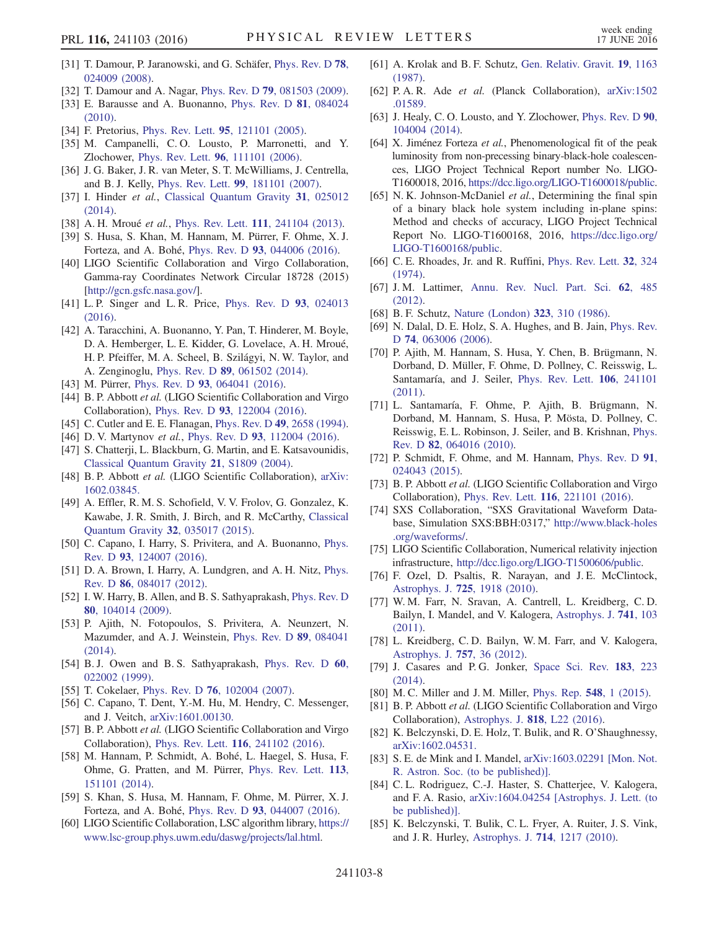- [31] T. Damour, P. Jaranowski, and G. Schäfer, [Phys. Rev. D](http://dx.doi.org/10.1103/PhysRevD.78.024009) 78, [024009 \(2008\).](http://dx.doi.org/10.1103/PhysRevD.78.024009)
- [32] T. Damour and A. Nagar, Phys. Rev. D 79[, 081503 \(2009\).](http://dx.doi.org/10.1103/PhysRevD.79.081503)
- [33] E. Barausse and A. Buonanno, [Phys. Rev. D](http://dx.doi.org/10.1103/PhysRevD.81.084024) **81**, 084024 [\(2010\).](http://dx.doi.org/10.1103/PhysRevD.81.084024)
- <span id="page-7-0"></span>[34] F. Pretorius, Phys. Rev. Lett. 95[, 121101 \(2005\).](http://dx.doi.org/10.1103/PhysRevLett.95.121101)
- [35] M. Campanelli, C.O. Lousto, P. Marronetti, and Y. Zlochower, Phys. Rev. Lett. 96[, 111101 \(2006\)](http://dx.doi.org/10.1103/PhysRevLett.96.111101).
- [36] J. G. Baker, J. R. van Meter, S. T. McWilliams, J. Centrella, and B. J. Kelly, Phys. Rev. Lett. 99[, 181101 \(2007\).](http://dx.doi.org/10.1103/PhysRevLett.99.181101)
- [37] I. Hinder et al., [Classical Quantum Gravity](http://dx.doi.org/10.1088/0264-9381/31/2/025012) 31, 025012 [\(2014\).](http://dx.doi.org/10.1088/0264-9381/31/2/025012)
- <span id="page-7-22"></span><span id="page-7-13"></span>[38] A. H. Mroué et al., Phys. Rev. Lett. 111[, 241104 \(2013\)](http://dx.doi.org/10.1103/PhysRevLett.111.241104).
- [39] S. Husa, S. Khan, M. Hannam, M. Pürrer, F. Ohme, X. J. Forteza, and A. Bohé, Phys. Rev. D 93[, 044006 \(2016\)](http://dx.doi.org/10.1103/PhysRevD.93.044006).
- <span id="page-7-1"></span>[40] LIGO Scientific Collaboration and Virgo Collaboration, Gamma-ray Coordinates Network Circular 18728 (2015) [<http://gcn.gsfc.nasa.gov/>].
- <span id="page-7-2"></span>[41] L. P. Singer and L. R. Price, [Phys. Rev. D](http://dx.doi.org/10.1103/PhysRevD.93.024013) 93, 024013 [\(2016\).](http://dx.doi.org/10.1103/PhysRevD.93.024013)
- <span id="page-7-3"></span>[42] A. Taracchini, A. Buonanno, Y. Pan, T. Hinderer, M. Boyle, D. A. Hemberger, L. E. Kidder, G. Lovelace, A. H. Mroué, H. P. Pfeiffer, M. A. Scheel, B. Szilágyi, N. W. Taylor, and A. Zenginoglu, Phys. Rev. D 89[, 061502 \(2014\)](http://dx.doi.org/10.1103/PhysRevD.89.061502).
- <span id="page-7-4"></span>[43] M. Pürrer, Phys. Rev. D **93**[, 064041 \(2016\)](http://dx.doi.org/10.1103/PhysRevD.93.064041).
- [44] B. P. Abbott et al. (LIGO Scientific Collaboration and Virgo Collaboration), Phys. Rev. D 93[, 122004 \(2016\)](http://dx.doi.org/10.1103/PhysRevD.93.122004).
- <span id="page-7-5"></span>[45] C. Cutler and E. E. Flanagan, *Phys. Rev. D* **49**[, 2658 \(1994\).](http://dx.doi.org/10.1103/PhysRevD.49.2658)
- <span id="page-7-6"></span>[46] D. V. Martynov *et al.*, Phys. Rev. D 93[, 112004 \(2016\).](http://dx.doi.org/10.1103/PhysRevD.93.112004)
- <span id="page-7-7"></span>[47] S. Chatterji, L. Blackburn, G. Martin, and E. Katsavounidis, [Classical Quantum Gravity](http://dx.doi.org/10.1088/0264-9381/21/20/024) 21, S1809 (2004).
- <span id="page-7-8"></span>[48] B. P. Abbott et al. (LIGO Scientific Collaboration), [arXiv:](http://arXiv.org/abs/1602.03845) [1602.03845.](http://arXiv.org/abs/1602.03845)
- [49] A. Effler, R. M. S. Schofield, V. V. Frolov, G. Gonzalez, K. Kawabe, J. R. Smith, J. Birch, and R. McCarthy, [Classical](http://dx.doi.org/10.1088/0264-9381/32/3/035017) [Quantum Gravity](http://dx.doi.org/10.1088/0264-9381/32/3/035017) 32, 035017 (2015).
- [50] C. Capano, I. Harry, S. Privitera, and A. Buonanno, [Phys.](http://dx.doi.org/10.1103/PhysRevD.93.124007) Rev. D 93[, 124007 \(2016\)](http://dx.doi.org/10.1103/PhysRevD.93.124007).
- [51] D. A. Brown, I. Harry, A. Lundgren, and A. H. Nitz, *[Phys.](http://dx.doi.org/10.1103/PhysRevD.86.084017)* Rev. D 86[, 084017 \(2012\)](http://dx.doi.org/10.1103/PhysRevD.86.084017).
- [52] I. W. Harry, B. Allen, and B. S. Sathyaprakash, [Phys. Rev. D](http://dx.doi.org/10.1103/PhysRevD.80.104014) 80[, 104014 \(2009\).](http://dx.doi.org/10.1103/PhysRevD.80.104014)
- [53] P. Ajith, N. Fotopoulos, S. Privitera, A. Neunzert, N. Mazumder, and A. J. Weinstein, [Phys. Rev. D](http://dx.doi.org/10.1103/PhysRevD.89.084041) 89, 084041 [\(2014\).](http://dx.doi.org/10.1103/PhysRevD.89.084041)
- [54] B.J. Owen and B.S. Sathyaprakash, [Phys. Rev. D](http://dx.doi.org/10.1103/PhysRevD.60.022002) 60, [022002 \(1999\).](http://dx.doi.org/10.1103/PhysRevD.60.022002)
- <span id="page-7-9"></span>[55] T. Cokelaer, Phys. Rev. D 76[, 102004 \(2007\).](http://dx.doi.org/10.1103/PhysRevD.76.102004)
- <span id="page-7-21"></span>[56] C. Capano, T. Dent, Y.-M. Hu, M. Hendry, C. Messenger, and J. Veitch, [arXiv:1601.00130.](http://arXiv.org/abs/1601.00130)
- <span id="page-7-10"></span>[57] B. P. Abbott et al. (LIGO Scientific Collaboration and Virgo Collaboration), Phys. Rev. Lett. 116[, 241102 \(2016\)](http://dx.doi.org/10.1103/PhysRevLett.116.241102).
- <span id="page-7-11"></span>[58] M. Hannam, P. Schmidt, A. Bohé, L. Haegel, S. Husa, F. Ohme, G. Pratten, and M. Pürrer, [Phys. Rev. Lett.](http://dx.doi.org/10.1103/PhysRevLett.113.151101) 113, [151101 \(2014\).](http://dx.doi.org/10.1103/PhysRevLett.113.151101)
- <span id="page-7-12"></span>[59] S. Khan, S. Husa, M. Hannam, F. Ohme, M. Pürrer, X. J. Forteza, and A. Bohé, Phys. Rev. D 93[, 044007 \(2016\)](http://dx.doi.org/10.1103/PhysRevD.93.044007).
- [60] LIGO Scientific Collaboration, LSC algorithm library, [https://](https://www.lsc-group.phys.uwm.edu/daswg/projects/lal.html) [www.lsc](https://www.lsc-group.phys.uwm.edu/daswg/projects/lal.html)‑[group.phys.uwm.edu/daswg/projects/lal.html.](https://www.lsc-group.phys.uwm.edu/daswg/projects/lal.html)
- <span id="page-7-14"></span>[61] A. Krolak and B. F. Schutz, [Gen. Relativ. Gravit.](http://dx.doi.org/10.1007/BF00759095) 19, 1163 [\(1987\).](http://dx.doi.org/10.1007/BF00759095)
- <span id="page-7-15"></span>[62] P. A. R. Ade et al. (Planck Collaboration), [arXiv:1502](http://arXiv.org/abs/1502.01589) [.01589.](http://arXiv.org/abs/1502.01589)
- [63] J. Healy, C. O. Lousto, and Y. Zlochower, [Phys. Rev. D](http://dx.doi.org/10.1103/PhysRevD.90.104004) 90, [104004 \(2014\).](http://dx.doi.org/10.1103/PhysRevD.90.104004)
- [64] X. Jiménez Forteza et al., Phenomenological fit of the peak luminosity from non-precessing binary-black-hole coalescences, LIGO Project Technical Report number No. LIGO-T1600018, 2016, [https://dcc.ligo.org/LIGO](https://dcc.ligo.org/LIGO-T1600018/public)‑T1600018/public.
- [65] N. K. Johnson-McDaniel et al., Determining the final spin of a binary black hole system including in-plane spins: Method and checks of accuracy, LIGO Project Technical Report No. LIGO-T1600168, 2016, [https://dcc.ligo.org/](https://dcc.ligo.org/LIGO-T1600168/public) LIGO‑[T1600168/public](https://dcc.ligo.org/LIGO-T1600168/public).
- <span id="page-7-16"></span>[66] C. E. Rhoades, Jr. and R. Ruffini, [Phys. Rev. Lett.](http://dx.doi.org/10.1103/PhysRevLett.32.324) 32, 324 [\(1974\).](http://dx.doi.org/10.1103/PhysRevLett.32.324)
- [67] J. M. Lattimer, [Annu. Rev. Nucl. Part. Sci.](http://dx.doi.org/10.1146/annurev-nucl-102711-095018) 62, 485 [\(2012\).](http://dx.doi.org/10.1146/annurev-nucl-102711-095018)
- <span id="page-7-17"></span>[68] B. F. Schutz, [Nature \(London\)](http://dx.doi.org/10.1038/323310a0) **323**, 310 (1986).
- [69] N. Dalal, D. E. Holz, S. A. Hughes, and B. Jain, [Phys. Rev.](http://dx.doi.org/10.1103/PhysRevD.74.063006) D 74[, 063006 \(2006\)](http://dx.doi.org/10.1103/PhysRevD.74.063006).
- <span id="page-7-18"></span>[70] P. Ajith, M. Hannam, S. Husa, Y. Chen, B. Brügmann, N. Dorband, D. Müller, F. Ohme, D. Pollney, C. Reisswig, L. Santamaría, and J. Seiler, [Phys. Rev. Lett.](http://dx.doi.org/10.1103/PhysRevLett.106.241101) 106, 241101 [\(2011\).](http://dx.doi.org/10.1103/PhysRevLett.106.241101)
- [71] L. Santamaría, F. Ohme, P. Ajith, B. Brügmann, N. Dorband, M. Hannam, S. Husa, P. Mösta, D. Pollney, C. Reisswig, E. L. Robinson, J. Seiler, and B. Krishnan, [Phys.](http://dx.doi.org/10.1103/PhysRevD.82.064016) Rev. D 82[, 064016 \(2010\)](http://dx.doi.org/10.1103/PhysRevD.82.064016).
- <span id="page-7-19"></span>[72] P. Schmidt, F. Ohme, and M. Hannam, [Phys. Rev. D](http://dx.doi.org/10.1103/PhysRevD.91.024043) 91, [024043 \(2015\).](http://dx.doi.org/10.1103/PhysRevD.91.024043)
- <span id="page-7-20"></span>[73] B. P. Abbott et al. (LIGO Scientific Collaboration and Virgo Collaboration), Phys. Rev. Lett. 116[, 221101 \(2016\)](http://dx.doi.org/10.1103/PhysRevLett.116.221101).
- [74] SXS Collaboration, "SXS Gravitational Waveform Database, Simulation SXS:BBH:0317," [http://www.black](http://www.black-holes.org/waveforms/)-holes [.org/waveforms/](http://www.black-holes.org/waveforms/).
- [75] LIGO Scientific Collaboration, Numerical relativity injection infrastructure, [http://dcc.ligo.org/LIGO](http://dcc.ligo.org/LIGO-T1500606/public)‑T1500606/public.
- <span id="page-7-23"></span>[76] F. Ozel, D. Psaltis, R. Narayan, and J. E. McClintock, Astrophys. J. 725[, 1918 \(2010\)](http://dx.doi.org/10.1088/0004-637X/725/2/1918).
- [77] W. M. Farr, N. Sravan, A. Cantrell, L. Kreidberg, C. D. Bailyn, I. Mandel, and V. Kalogera, [Astrophys. J.](http://dx.doi.org/10.1088/0004-637X/741/2/103) 741, 103 [\(2011\).](http://dx.doi.org/10.1088/0004-637X/741/2/103)
- [78] L. Kreidberg, C. D. Bailyn, W. M. Farr, and V. Kalogera, [Astrophys. J.](http://dx.doi.org/10.1088/0004-637X/757/1/36) 757, 36 (2012).
- [79] J. Casares and P. G. Jonker, [Space Sci. Rev.](http://dx.doi.org/10.1007/s11214-013-0030-6) 183, 223 [\(2014\).](http://dx.doi.org/10.1007/s11214-013-0030-6)
- <span id="page-7-24"></span>[80] M. C. Miller and J. M. Miller, [Phys. Rep.](http://dx.doi.org/10.1016/j.physrep.2014.09.003) **548**, 1 (2015).
- <span id="page-7-25"></span>[81] B. P. Abbott et al. (LIGO Scientific Collaboration and Virgo Collaboration), [Astrophys. J.](http://dx.doi.org/10.3847/2041-8205/818/2/L22) 818, L22 (2016).
- [82] K. Belczynski, D. E. Holz, T. Bulik, and R. O'Shaughnessy, [arXiv:1602.04531.](http://arXiv.org/abs/1602.04531)
- [83] S. E. de Mink and I. Mandel, [arXiv:1603.02291 \[Mon. Not.](http://arXiv.org/abs/1603.02291)] [R. Astron. Soc. \(to be published\)\].](http://arXiv.org/abs/1603.02291)
- [84] C. L. Rodriguez, C.-J. Haster, S. Chatterjee, V. Kalogera, and F. A. Rasio, [arXiv:1604.04254 \[Astrophys. J. Lett. \(to](http://arXiv.org/abs/1604.04254) [be published\)\].](http://arXiv.org/abs/1604.04254)
- <span id="page-7-26"></span>[85] K. Belczynski, T. Bulik, C. L. Fryer, A. Ruiter, J. S. Vink, and J. R. Hurley, Astrophys. J. 714[, 1217 \(2010\)](http://dx.doi.org/10.1088/0004-637X/714/2/1217).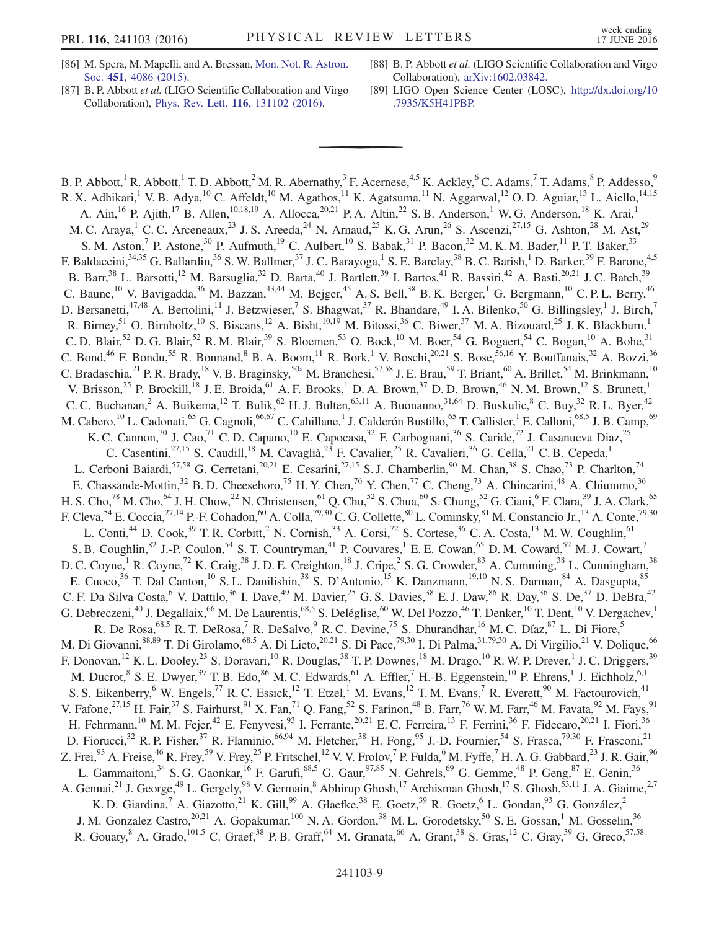- [86] M. Spera, M. Mapelli, and A. Bressan, [Mon. Not. R. Astron.](http://dx.doi.org/10.1093/mnras/stv1161) Soc. 451[, 4086 \(2015\)](http://dx.doi.org/10.1093/mnras/stv1161).
- <span id="page-8-0"></span>[87] B. P. Abbott et al. (LIGO Scientific Collaboration and Virgo Collaboration), Phys. Rev. Lett. 116[, 131102 \(2016\)](http://dx.doi.org/10.1103/PhysRevLett.116.131102).
- <span id="page-8-1"></span>[88] B. P. Abbott et al. (LIGO Scientific Collaboration and Virgo Collaboration), [arXiv:1602.03842.](http://arXiv.org/abs/1602.03842)
- <span id="page-8-2"></span>[89] LIGO Open Science Center (LOSC), [http://dx.doi.org/10](http://dx.doi.org/10.7935/K5H41PBP) [.7935/K5H41PBP.](http://dx.doi.org/10.7935/K5H41PBP)

<span id="page-8-3"></span>B. P. Abbott,<sup>1</sup> R. Abbott,<sup>1</sup> T. D. Abbott,<sup>2</sup> M. R. Abernathy,<sup>3</sup> F. Acernese,<sup>4,5</sup> K. Ackley,<sup>6</sup> C. Adams,<sup>7</sup> T. Adams,<sup>8</sup> P. Addesso,<sup>9</sup> R. X. Adhikari,<sup>1</sup> V. B. Adya,<sup>10</sup> C. Affeldt,<sup>10</sup> M. Agathos,<sup>11</sup> K. Agatsuma,<sup>11</sup> N. Aggarwal,<sup>12</sup> O. D. Aguiar,<sup>13</sup> L. Aiello,<sup>14,15</sup> A. Ain,<sup>16</sup> P. Ajith,<sup>17</sup> B. Allen,<sup>10,18,19</sup> A. Allocca,<sup>20,21</sup> P. A. Altin,<sup>22</sup> S. B. Anderson,<sup>1</sup> W. G. Anderson,<sup>18</sup> K. Arai,<sup>1</sup> M. C. Araya,<sup>1</sup> C. C. Arceneaux,<sup>23</sup> J. S. Areeda,<sup>24</sup> N. Arnaud,<sup>25</sup> K. G. Arun,<sup>26</sup> S. Ascenzi,<sup>27,15</sup> G. Ashton,<sup>28</sup> M. Ast,<sup>29</sup> S. M. Aston,<sup>7</sup> P. Astone,<sup>30</sup> P. Aufmuth,<sup>19</sup> C. Aulbert,<sup>10</sup> S. Babak,<sup>31</sup> P. Bacon,<sup>32</sup> M. K. M. Bader,<sup>11</sup> P. T. Baker,<sup>33</sup> F. Baldaccini,<sup>34,35</sup> G. Ballardin,<sup>36</sup> S. W. Ballmer,<sup>37</sup> J. C. Barayoga,<sup>1</sup> S. E. Barclay,<sup>38</sup> B. C. Barish,<sup>1</sup> D. Barker,<sup>39</sup> F. Barone,<sup>4,5</sup> B. Barr,<sup>38</sup> L. Barsotti,<sup>12</sup> M. Barsuglia,<sup>32</sup> D. Barta,<sup>40</sup> J. Bartlett,<sup>39</sup> I. Bartos,<sup>41</sup> R. Bassiri,<sup>42</sup> A. Basti,<sup>20,21</sup> J. C. Batch,<sup>39</sup> C. Baune,  $^{10}$  V. Bavigadda,  $^{36}$  M. Bazzan,  $^{43,44}$  M. Bejger,  $^{45}$  A. S. Bell,  $^{38}$  B. K. Berger,  $^{1}$  G. Bergmann,  $^{10}$  C. P. L. Berry,  $^{46}$ D. Bersanetti,<sup>47,48</sup> A. Bertolini,<sup>11</sup> J. Betzwieser,<sup>7</sup> S. Bhagwat,<sup>37</sup> R. Bhandare,<sup>49</sup> I. A. Bilenko,<sup>50</sup> G. Billingsley,<sup>1</sup> J. Birch,<sup>7</sup> R. Birney,<sup>51</sup> O. Birnholtz,<sup>10</sup> S. Biscans,<sup>12</sup> A. Bisht,<sup>10,19</sup> M. Bitossi,<sup>36</sup> C. Biwer,<sup>37</sup> M. A. Bizouard,<sup>25</sup> J. K. Blackburn,<sup>1</sup> C. D. Blair,<sup>52</sup> D. G. Blair,<sup>52</sup> R. M. Blair,<sup>39</sup> S. Bloemen,<sup>53</sup> O. Bock,<sup>10</sup> M. Boer,<sup>54</sup> G. Bogaert,<sup>54</sup> C. Bogan,<sup>10</sup> A. Bohe,<sup>31</sup> C. Bond,<sup>46</sup> F. Bondu,<sup>55</sup> R. Bonnand,<sup>8</sup> B. A. Boom,<sup>11</sup> R. Bork,<sup>1</sup> V. Boschi,<sup>20,21</sup> S. Bose,<sup>56,16</sup> Y. Bouffanais,<sup>32</sup> A. Bozzi,<sup>36</sup> C. Bradaschia,  $2^1$  P. R. Brady,  $1^8$  V. B. Braginsky,  $5^{0a}$  $5^{0a}$  $5^{0a}$  M. Branchesi,  $5^{7,58}$  J. E. Brau,  $5^9$  T. Briant,  $6^0$  A. Brillet,  $5^4$  M. Brinkmann,  $1^0$ V. Brisson,<sup>25</sup> P. Brockill,<sup>18</sup> J. E. Broida,<sup>61</sup> A. F. Brooks,<sup>1</sup> D. A. Brown,<sup>37</sup> D. D. Brown,<sup>46</sup> N. M. Brown,<sup>12</sup> S. Brunett,<sup>1</sup> C. C. Buchanan,<sup>2</sup> A. Buikema,<sup>12</sup> T. Bulik,<sup>62</sup> H. J. Bulten,<sup>63,11</sup> A. Buonanno,<sup>31,64</sup> D. Buskulic, <sup>8</sup> C. Buy,<sup>32</sup> R. L. Byer,<sup>42</sup> M. Cabero, <sup>10</sup> L. Cadonati, <sup>65</sup> G. Cagnoli, <sup>66,67</sup> C. Cahillane, <sup>1</sup> J. Calderón Bustillo, <sup>65</sup> T. Callister, <sup>1</sup> E. Calloni, <sup>68,5</sup> J. B. Camp, <sup>69</sup> K. C. Cannon,<sup>70</sup> J. Cao,<sup>71</sup> C. D. Capano,<sup>10</sup> E. Capocasa,<sup>32</sup> F. Carbognani,<sup>36</sup> S. Caride,<sup>72</sup> J. Casanueva Diaz,<sup>25</sup> C. Casentini,<sup>27,15</sup> S. Caudill,<sup>18</sup> M. Cavaglià,<sup>23</sup> F. Cavalier,<sup>25</sup> R. Cavalieri,<sup>36</sup> G. Cella,<sup>21</sup> C. B. Cepeda,<sup>1</sup> L. Cerboni Baiardi,<sup>57,58</sup> G. Cerretani,<sup>20,21</sup> E. Cesarini,<sup>27,15</sup> S. J. Chamberlin,<sup>90</sup> M. Chan,<sup>38</sup> S. Chao,<sup>73</sup> P. Charlton,<sup>74</sup> E. Chassande-Mottin,<sup>32</sup> B. D. Cheeseboro,<sup>75</sup> H. Y. Chen,<sup>76</sup> Y. Chen,<sup>77</sup> C. Cheng,<sup>73</sup> A. Chincarini,<sup>48</sup> A. Chiummo,<sup>36</sup> H. S. Cho,<sup>78</sup> M. Cho,<sup>64</sup> J. H. Chow,<sup>22</sup> N. Christensen,<sup>61</sup> Q. Chu,<sup>52</sup> S. Chua,<sup>60</sup> S. Chung,<sup>52</sup> G. Ciani,<sup>6</sup> F. Clara,<sup>39</sup> J. A. Clark,<sup>65</sup> F. Cleva,  $5^4$  E. Coccia,  $27,14$  P.-F. Cohadon,  $60$  A. Colla,  $79,30$  C. G. Collette,  $80$  L. Cominsky,  $81$  M. Constancio Jr.,  $13$  A. Conte,  $79,30$ L. Conti,<sup>44</sup> D. Cook,<sup>39</sup> T. R. Corbitt,<sup>2</sup> N. Cornish,<sup>33</sup> A. Corsi,<sup>72</sup> S. Cortese,<sup>36</sup> C. A. Costa,<sup>13</sup> M. W. Coughlin,<sup>61</sup> S. B. Coughlin,  $82$  J.-P. Coulon,  $54$  S. T. Countryman,  $41$  P. Couvares,  $1$  E. E. Cowan,  $65$  D. M. Coward,  $52$  M. J. Cowart,  $7$ D. C. Coyne,<sup>1</sup> R. Coyne,<sup>72</sup> K. Craig,<sup>38</sup> J. D. E. Creighton,<sup>18</sup> J. Cripe,<sup>2</sup> S. G. Crowder,<sup>83</sup> A. Cumming,<sup>38</sup> L. Cunningham,<sup>38</sup> E. Cuoco,<sup>36</sup> T. Dal Canton,<sup>10</sup> S. L. Danilishin,<sup>38</sup> S. D'Antonio,<sup>15</sup> K. Danzmann,<sup>19,10</sup> N. S. Darman,<sup>84</sup> A. Dasgupta,<sup>85</sup> C. F. Da Silva Costa, <sup>6</sup> V. Dattilo, <sup>36</sup> I. Dave, <sup>49</sup> M. Davier, <sup>25</sup> G. S. Davies, <sup>38</sup> E. J. Daw, <sup>86</sup> R. Day, <sup>36</sup> S. De, <sup>37</sup> D. DeBra, <sup>42</sup> G. Debreczeni,<sup>40</sup> J. Degallaix,<sup>66</sup> M. De Laurentis,<sup>68,5</sup> S. Deléglise,<sup>60</sup> W. Del Pozzo,<sup>46</sup> T. Denker,<sup>10</sup> T. Dent,<sup>10</sup> V. Dergachev,<sup>1</sup> R. De Rosa,  $^{68,5}$  R. T. DeRosa,  $^7$  R. DeSalvo,  $^9$  R. C. Devine,  $^{75}$  S. Dhurandhar,  $^{16}$  M. C. Díaz,  $^{87}$  L. Di Fiore,  $^5$ M. Di Giovanni, 88,89 T. Di Girolamo, 68,5 A. Di Lieto, 20,21 S. Di Pace, 79,30 I. Di Palma, 31,79,30 A. Di Virgilio, 21 V. Dolique, 66 F. Donovan,<sup>12</sup> K. L. Dooley,<sup>23</sup> S. Doravari,<sup>10</sup> R. Douglas,<sup>38</sup> T. P. Downes,<sup>18</sup> M. Drago,<sup>10</sup> R. W. P. Drever,<sup>1</sup> J. C. Driggers,<sup>39</sup> M. Ducrot, <sup>8</sup> S. E. Dwyer, <sup>39</sup> T. B. Edo, <sup>86</sup> M. C. Edwards, <sup>61</sup> A. Effler, <sup>7</sup> H.-B. Eggenstein, <sup>10</sup> P. Ehrens, <sup>1</sup> J. Eichholz, <sup>6,1</sup> S. S. Eikenberry, <sup>6</sup> W. Engels, <sup>77</sup> R. C. Essick, <sup>12</sup> T. Etzel, <sup>1</sup> M. Evans, <sup>12</sup> T. M. Evans, <sup>7</sup> R. Everett, <sup>90</sup> M. Factourovich, <sup>41</sup> V. Fafone,  $27,15$  H. Fair,  $37$  S. Fairhurst,  $91$  X. Fan,  $71$  Q. Fang,  $52$  S. Farinon,  $48$  B. Farr,  $76$  W. M. Farr,  $46$  M. Favata,  $92$  M. Fays,  $91$ H. Fehrmann,<sup>10</sup> M. M. Fejer,<sup>42</sup> E. Fenyvesi,<sup>93</sup> I. Ferrante,<sup>20,21</sup> E. C. Ferreira,<sup>13</sup> F. Ferrini,<sup>36</sup> F. Fidecaro,<sup>20,21</sup> I. Fiori,<sup>36</sup> D. Fiorucci,<sup>32</sup> R. P. Fisher,<sup>37</sup> R. Flaminio,<sup>66,94</sup> M. Fletcher,<sup>38</sup> H. Fong,<sup>95</sup> J.-D. Fournier,<sup>54</sup> S. Frasca,<sup>79,30</sup> F. Frasconi,<sup>21</sup> Z. Frei, $^{93}$  A. Freise, $^{46}$  R. Frey, $^{59}$  V. Frey, $^{25}$  P. Fritschel, $^{12}$  V. V. Frolov, $^7$  P. Fulda, $^6$  M. Fyffe, $^7$  H. A. G. Gabbard, $^{23}$  J. R. Gair, $^{96}$ L. Gammaitoni,<sup>34</sup> S. G. Gaonkar,<sup>16</sup> F. Garufi,<sup>68,5</sup> G. Gaur,<sup>97,85</sup> N. Gehrels,<sup>69</sup> G. Gemme,<sup>48</sup> P. Geng,<sup>87</sup> E. Genin,<sup>36</sup> A. Gennai,<sup>21</sup> J. George,<sup>49</sup> L. Gergely,<sup>98</sup> V. Germain,<sup>8</sup> Abhirup Ghosh,<sup>17</sup> Archisman Ghosh,<sup>17</sup> S. Ghosh,<sup>53,11</sup> J. A. Giaime,<sup>2,7</sup> K. D. Giardina,<sup>7</sup> A. Giazotto,<sup>21</sup> K. Gill,<sup>99</sup> A. Glaefke,<sup>38</sup> E. Goetz,<sup>39</sup> R. Goetz,<sup>6</sup> L. Gondan,<sup>93</sup> G. González,<sup>2</sup> J. M. Gonzalez Castro,<sup>20,21</sup> A. Gopakumar,<sup>100</sup> N. A. Gordon,<sup>38</sup> M. L. Gorodetsky,<sup>50</sup> S. E. Gossan,<sup>1</sup> M. Gosselin,<sup>36</sup> R. Gouaty, <sup>8</sup> A. Grado, <sup>101,5</sup> C. Graef, <sup>38</sup> P. B. Graff, <sup>64</sup> M. Granata, <sup>66</sup> A. Grant, <sup>38</sup> S. Gras, <sup>12</sup> C. Gray, <sup>39</sup> G. Greco, <sup>57,58</sup>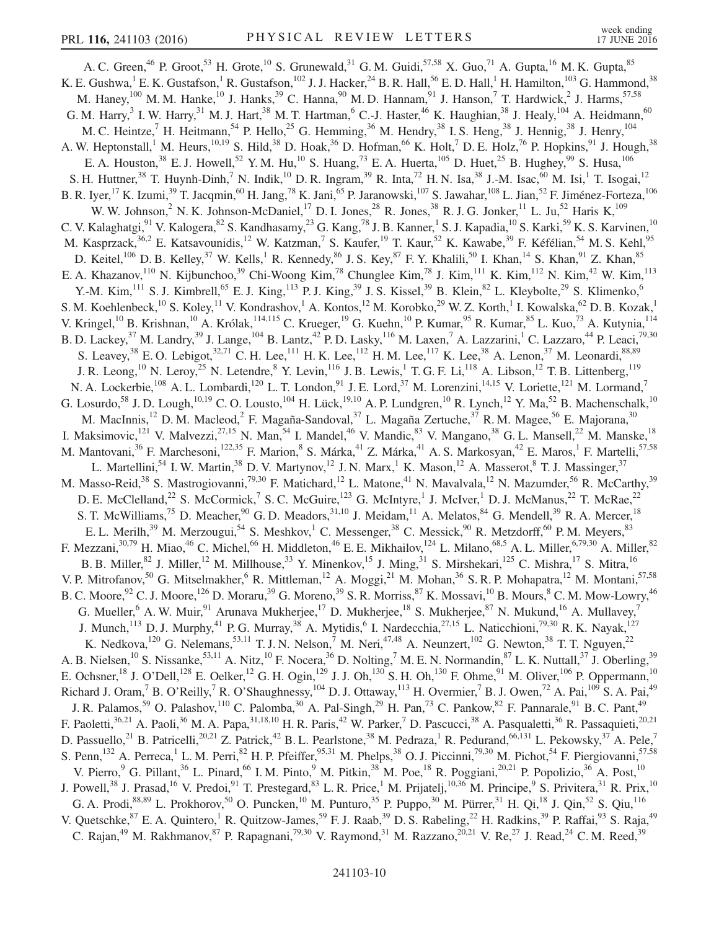A. C. Green, <sup>46</sup> P. Groot, <sup>53</sup> H. Grote, <sup>10</sup> S. Grunewald, <sup>31</sup> G. M. Guidi, <sup>57,58</sup> X. Guo, <sup>71</sup> A. Gupta, <sup>16</sup> M. K. Gupta, <sup>85</sup> K. E. Gushwa,<sup>1</sup> E. K. Gustafson,<sup>1</sup> R. Gustafson,<sup>102</sup> J. J. Hacker,<sup>24</sup> B. R. Hall,<sup>56</sup> E. D. Hall,<sup>1</sup> H. Hamilton,<sup>103</sup> G. Hammond,<sup>38</sup> M. Haney,<sup>100</sup> M. M. Hanke,<sup>10</sup> J. Hanks,<sup>39</sup> C. Hanna,<sup>90</sup> M. D. Hannam,<sup>91</sup> J. Hanson,<sup>7</sup> T. Hardwick,<sup>2</sup> J. Harms,<sup>57,58</sup> G. M. Harry,<sup>3</sup> I. W. Harry,<sup>31</sup> M. J. Hart,<sup>38</sup> M. T. Hartman,<sup>6</sup> C.-J. Haster,<sup>46</sup> K. Haughian,<sup>38</sup> J. Healy,<sup>104</sup> A. Heidmann,<sup>60</sup> M. C. Heintze,<sup>7</sup> H. Heitmann,<sup>54</sup> P. Hello,<sup>25</sup> G. Hemming,<sup>36</sup> M. Hendry,<sup>38</sup> I. S. Heng,<sup>38</sup> J. Hennig,<sup>38</sup> J. Henry,<sup>104</sup> A. W. Heptonstall,<sup>1</sup> M. Heurs,<sup>10,19</sup> S. Hild,<sup>38</sup> D. Hoak,<sup>36</sup> D. Hofman,<sup>66</sup> K. Holt,<sup>7</sup> D. E. Holz,<sup>76</sup> P. Hopkins,<sup>91</sup> J. Hough,<sup>38</sup> E. A. Houston,<sup>38</sup> E. J. Howell,<sup>52</sup> Y. M. Hu,<sup>10</sup> S. Huang,<sup>73</sup> E. A. Huerta,<sup>105</sup> D. Huet,<sup>25</sup> B. Hughey,<sup>99</sup> S. Husa,<sup>106</sup> S. H. Huttner,<sup>38</sup> T. Huynh-Dinh,<sup>7</sup> N. Indik,<sup>10</sup> D. R. Ingram,<sup>39</sup> R. Inta,<sup>72</sup> H. N. Isa,<sup>38</sup> J.-M. Isac,<sup>60</sup> M. Isi,<sup>1</sup> T. Isogai,<sup>12</sup> B. R. Iyer,  $^{17}$  K. Izumi,  $^{39}$  T. Jacqmin,  $^{60}$  H. Jang,  $^{78}$  K. Jani,  $^{65}$  P. Jaranowski,  $^{107}$  S. Jawahar,  $^{108}$  L. Jian,  $^{52}$  F. Jiménez-Forteza,  $^{106}$ W. W. Johnson,<sup>2</sup> N. K. Johnson-McDaniel,<sup>17</sup> D. I. Jones,<sup>28</sup> R. Jones,<sup>38</sup> R. J. G. Jonker,<sup>11</sup> L. Ju,<sup>52</sup> Haris K,<sup>109</sup> C. V. Kalaghatgi, <sup>91</sup> V. Kalogera, <sup>82</sup> S. Kandhasamy, <sup>23</sup> G. Kang, <sup>78</sup> J. B. Kanner, <sup>1</sup> S. J. Kapadia, <sup>10</sup> S. Karki, <sup>59</sup> K. S. Karvinen, <sup>10</sup> M. Kasprzack,<sup>36,2</sup> E. Katsavounidis,<sup>12</sup> W. Katzman,<sup>7</sup> S. Kaufer,<sup>19</sup> T. Kaur,<sup>52</sup> K. Kawabe,<sup>39</sup> F. Kéfélian,<sup>54</sup> M. S. Kehl,<sup>95</sup> D. Keitel,<sup>106</sup> D. B. Kelley,<sup>37</sup> W. Kells,<sup>1</sup> R. Kennedy,<sup>86</sup> J. S. Key,<sup>87</sup> F. Y. Khalili,<sup>50</sup> I. Khan,<sup>14</sup> S. Khan,<sup>91</sup> Z. Khan,<sup>85</sup> E. A. Khazanov,  $^{110}$  N. Kijbunchoo,  $^{39}$  Chi-Woong Kim,  $^{78}$  Chunglee Kim,  $^{78}$  J. Kim,  $^{111}$  K. Kim,  $^{112}$  N. Kim,  $^{42}$  W. Kim,  $^{113}$ Y.-M. Kim, $^{111}$  S. J. Kimbrell,<sup>65</sup> E. J. King, $^{113}$  P. J. King, $^{39}$  J. S. Kissel, $^{39}$  B. Klein, $^{82}$  L. Kleybolte, $^{29}$  S. Klimenko, $^{6}$ S. M. Koehlenbeck,<sup>10</sup> S. Koley,<sup>11</sup> V. Kondrashov,<sup>1</sup> A. Kontos,<sup>12</sup> M. Korobko,<sup>29</sup> W. Z. Korth,<sup>1</sup> I. Kowalska,<sup>62</sup> D. B. Kozak,<sup>1</sup> V. Kringel,<sup>10</sup> B. Krishnan,<sup>10</sup> A. Królak,<sup>114,115</sup> C. Krueger,<sup>19</sup> G. Kuehn,<sup>10</sup> P. Kumar,<sup>95</sup> R. Kumar,<sup>85</sup> L. Kuo,<sup>73</sup> A. Kutynia,<sup>114</sup> B. D. Lackey,  $37$  M. Landry,  $39$  J. Lange,  $104$  B. Lantz,  $42$  P. D. Lasky,  $116$  M. Laxen,  $7$  A. Lazzarini,  $1$  C. Lazzaro,  $44$  P. Leaci,  $79,30$ S. Leavey,  $38$  E. O. Lebigot,  $32,71$  C. H. Lee,  $111$  H. K. Lee,  $112$  H. M. Lee,  $117$  K. Lee,  $38$  A. Lenon,  $37$  M. Leonardi,  $88,89$ J. R. Leong,<sup>10</sup> N. Leroy,<sup>25</sup> N. Letendre,<sup>8</sup> Y. Levin,<sup>116</sup> J. B. Lewis,<sup>1</sup> T. G. F. Li,<sup>118</sup> A. Libson,<sup>12</sup> T. B. Littenberg,<sup>119</sup> N. A. Lockerbie,<sup>108</sup> A. L. Lombardi,<sup>120</sup> L. T. London,<sup>91</sup> J. E. Lord,<sup>37</sup> M. Lorenzini,<sup>14,15</sup> V. Loriette,<sup>121</sup> M. Lormand,<sup>7</sup> G. Losurdo,<sup>58</sup> J. D. Lough,<sup>10,19</sup> C. O. Lousto,<sup>104</sup> H. Lück,<sup>19,10</sup> A. P. Lundgren,<sup>10</sup> R. Lynch,<sup>12</sup> Y. Ma,<sup>52</sup> B. Machenschalk,<sup>10</sup> M. MacInnis,<sup>12</sup> D. M. Macleod,<sup>2</sup> F. Magaña-Sandoval,<sup>37</sup> L. Magaña Zertuche,<sup>37</sup> R. M. Magee,<sup>56</sup> E. Majorana,<sup>30</sup> I. Maksimovic,<sup>121</sup> V. Malvezzi,<sup>27,15</sup> N. Man,<sup>54</sup> I. Mandel,<sup>46</sup> V. Mandic,<sup>83</sup> V. Mangano,<sup>38</sup> G. L. Mansell,<sup>22</sup> M. Manske,<sup>18</sup> M. Mantovani,<sup>36</sup> F. Marchesoni,<sup>122,35</sup> F. Marion,<sup>8</sup> S. Márka,<sup>41</sup> Z. Márka,<sup>41</sup> A. S. Markosyan,<sup>42</sup> E. Maros,<sup>1</sup> F. Martelli,<sup>57,58</sup> L. Martellini,<sup>54</sup> I. W. Martin,<sup>38</sup> D. V. Martynov,<sup>12</sup> J. N. Marx,<sup>1</sup> K. Mason,<sup>12</sup> A. Masserot,<sup>8</sup> T. J. Massinger,<sup>37</sup> M. Masso-Reid,<sup>38</sup> S. Mastrogiovanni,<sup>79,30</sup> F. Matichard,<sup>12</sup> L. Matone,<sup>41</sup> N. Mavalvala,<sup>12</sup> N. Mazumder,<sup>56</sup> R. McCarthy,<sup>39</sup> D. E. McClelland,<sup>22</sup> S. McCormick,<sup>7</sup> S. C. McGuire,<sup>123</sup> G. McIntyre,<sup>1</sup> J. McIver,<sup>1</sup> D. J. McManus,<sup>22</sup> T. McRae,<sup>2</sup> S. T. McWilliams,<sup>75</sup> D. Meacher,<sup>90</sup> G. D. Meadors,<sup>31,10</sup> J. Meidam,<sup>11</sup> A. Melatos,<sup>84</sup> G. Mendell,<sup>39</sup> R. A. Mercer,<sup>18</sup> E. L. Merilh,<sup>39</sup> M. Merzougui,<sup>54</sup> S. Meshkov,<sup>1</sup> C. Messenger,<sup>38</sup> C. Messick,<sup>90</sup> R. Metzdorff,<sup>60</sup> P. M. Meyers,<sup>83</sup> F. Mezzani,<sup>30,79</sup> H. Miao,<sup>46</sup> C. Michel,<sup>66</sup> H. Middleton,<sup>46</sup> E. E. Mikhailov,<sup>124</sup> L. Milano,<sup>68,5</sup> A. L. Miller,<sup>6,79,30</sup> A. Miller,<sup>82</sup> B. B. Miller,<sup>82</sup> J. Miller,<sup>12</sup> M. Millhouse,<sup>33</sup> Y. Minenkov,<sup>15</sup> J. Ming,<sup>31</sup> S. Mirshekari,<sup>125</sup> C. Mishra,<sup>17</sup> S. Mitra,<sup>16</sup> V. P. Mitrofanov,<sup>50</sup> G. Mitselmakher,<sup>6</sup> R. Mittleman,<sup>12</sup> A. Moggi,<sup>21</sup> M. Mohan,<sup>36</sup> S. R. P. Mohapatra,<sup>12</sup> M. Montani,<sup>57,58</sup> B. C. Moore,  $92$  C. J. Moore,  $126$  D. Moraru,  $39$  G. Moreno,  $39$  S. R. Morriss,  $87$  K. Mossavi,  $10$  B. Mours,  $8$  C. M. Mow-Lowry,  $46$ G. Mueller, <sup>6</sup> A. W. Muir, <sup>91</sup> Arunava Mukherjee,<sup>17</sup> D. Mukherjee,<sup>18</sup> S. Mukherjee,<sup>87</sup> N. Mukund,<sup>16</sup> A. Mullavey,<sup>7</sup> J. Munch,<sup>113</sup> D. J. Murphy,<sup>41</sup> P. G. Murray,<sup>38</sup> A. Mytidis,<sup>6</sup> I. Nardecchia,<sup>27,15</sup> L. Naticchioni,<sup>79,30</sup> R. K. Nayak,<sup>127</sup> K. Nedkova,<sup>120</sup> G. Nelemans,<sup>53,11</sup> T. J. N. Nelson,<sup>7</sup> M. Neri,<sup>47,48</sup> A. Neunzert,<sup>102</sup> G. Newton,<sup>38</sup> T. T. Nguyen,<sup>22</sup> A. B. Nielsen,<sup>10</sup> S. Nissanke,<sup>53,11</sup> A. Nitz,<sup>10</sup> F. Nocera,<sup>36</sup> D. Nolting,<sup>7</sup> M. E. N. Normandin,<sup>87</sup> L. K. Nuttall,<sup>37</sup> J. Oberling,<sup>39</sup> E. Ochsner,<sup>18</sup> J. O'Dell,<sup>128</sup> E. Oelker,<sup>12</sup> G. H. Ogin,<sup>129</sup> J. J. Oh,<sup>130</sup> S. H. Oh,<sup>130</sup> F. Ohme,<sup>91</sup> M. Oliver,<sup>106</sup> P. Oppermann,<sup>10</sup> Richard J. Oram, <sup>7</sup> B. O'Reilly, <sup>7</sup> R. O'Shaughnessy,  $104$  D. J. Ottaway,  $113$  H. Overmier,  $7$  B. J. Owen,  $72$  A. Pai,  $109$  S. A. Pai,  $49$ J. R. Palamos,<sup>59</sup> O. Palashov,<sup>110</sup> C. Palomba,<sup>30</sup> A. Pal-Singh,<sup>29</sup> H. Pan,<sup>73</sup> C. Pankow,<sup>82</sup> F. Pannarale,<sup>91</sup> B. C. Pant,<sup>49</sup> F. Paoletti,<sup>36,21</sup> A. Paoli,<sup>36</sup> M. A. Papa,<sup>31,18,10</sup> H. R. Paris,<sup>42</sup> W. Parker,<sup>7</sup> D. Pascucci,<sup>38</sup> A. Pasqualetti,<sup>36</sup> R. Passaquieti,<sup>20,21</sup> D. Passuello,<sup>21</sup> B. Patricelli,<sup>20,21</sup> Z. Patrick,<sup>42</sup> B. L. Pearlstone,<sup>38</sup> M. Pedraza,<sup>1</sup> R. Pedurand,<sup>66,131</sup> L. Pekowsky,<sup>37</sup> A. Pele,<sup>7</sup> S. Penn,<sup>132</sup> A. Perreca,<sup>1</sup> L. M. Perri,<sup>82</sup> H. P. Pfeiffer,<sup>95,31</sup> M. Phelps,<sup>38</sup> O. J. Piccinni,<sup>79,30</sup> M. Pichot,<sup>54</sup> F. Piergiovanni,<sup>57,58</sup> V. Pierro, <sup>9</sup> G. Pillant, <sup>36</sup> L. Pinard, <sup>66</sup> I. M. Pinto, <sup>9</sup> M. Pitkin, <sup>38</sup> M. Poe, <sup>18</sup> R. Poggiani, <sup>20,21</sup> P. Popolizio, <sup>36</sup> A. Post, <sup>10</sup> J. Powell,<sup>38</sup> J. Prasad,<sup>16</sup> V. Predoi,<sup>91</sup> T. Prestegard,<sup>83</sup> L. R. Price,<sup>1</sup> M. Prijatelj,<sup>10,36</sup> M. Principe,<sup>9</sup> S. Privitera,<sup>31</sup> R. Prix,<sup>10</sup> G. A. Prodi,<sup>88,89</sup> L. Prokhorov,<sup>50</sup> O. Puncken,<sup>10</sup> M. Punturo,<sup>35</sup> P. Puppo,<sup>30</sup> M. Pürrer,<sup>31</sup> H. Qi,<sup>18</sup> J. Qin,<sup>52</sup> S. Qiu,<sup>116</sup> V. Quetschke,  $8^7$  E. A. Quintero, <sup>1</sup> R. Quitzow-James,  $5^9$  F. J. Raab,  $3^9$  D. S. Rabeling,  $2^2$  H. Radkins,  $3^9$  P. Raffai,  $9^3$  S. Raja,  $4^9$ C. Rajan,<sup>49</sup> M. Rakhmanov,<sup>87</sup> P. Rapagnani,<sup>79,30</sup> V. Raymond,<sup>31</sup> M. Razzano,<sup>20,21</sup> V. Re,<sup>27</sup> J. Read,<sup>24</sup> C. M. Reed,<sup>39</sup>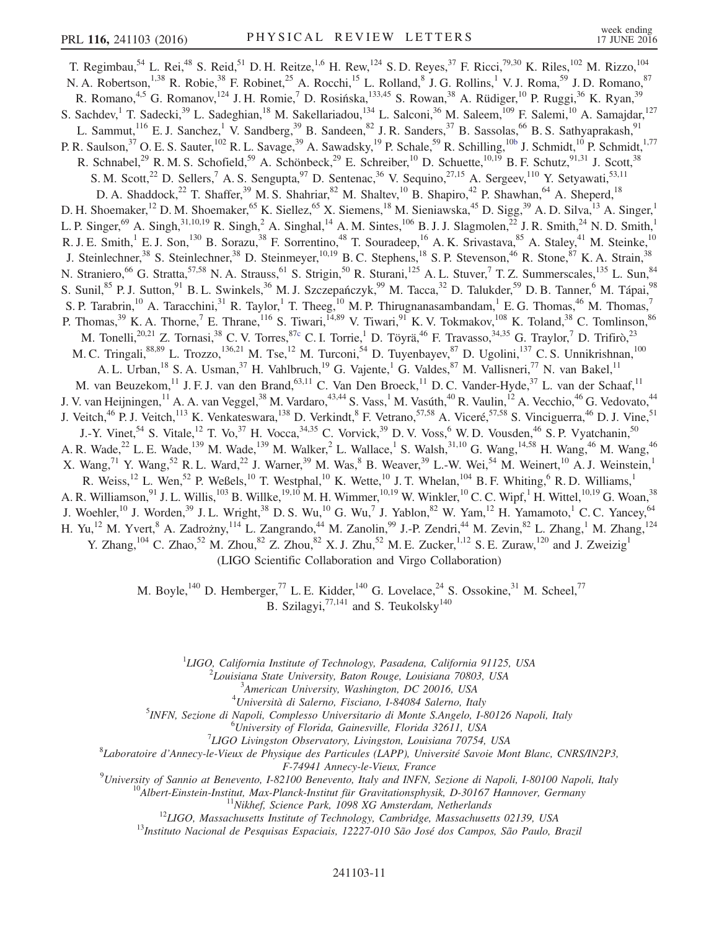<span id="page-10-1"></span><span id="page-10-0"></span>T. Regimbau,<sup>54</sup> L. Rei,<sup>48</sup> S. Reid,<sup>51</sup> D. H. Reitze,<sup>1,6</sup> H. Rew,<sup>124</sup> S. D. Reyes,<sup>37</sup> F. Ricci,<sup>79,30</sup> K. Riles,<sup>102</sup> M. Rizzo,<sup>104</sup> N. A. Robertson,<sup>1,38</sup> R. Robie,<sup>38</sup> F. Robinet,<sup>25</sup> A. Rocchi,<sup>15</sup> L. Rolland,<sup>8</sup> J. G. Rollins,<sup>1</sup> V. J. Roma,<sup>59</sup> J. D. Romano,<sup>87</sup> R. Romano,<sup>4,5</sup> G. Romanov,<sup>124</sup> J. H. Romie,<sup>7</sup> D. Rosińska,<sup>133,45</sup> S. Rowan,<sup>38</sup> A. Rüdiger,<sup>10</sup> P. Ruggi,<sup>36</sup> K. Ryan,<sup>39</sup> S. Sachdev,<sup>1</sup> T. Sadecki,<sup>39</sup> L. Sadeghian,<sup>18</sup> M. Sakellariadou,<sup>134</sup> L. Salconi,<sup>36</sup> M. Saleem,<sup>109</sup> F. Salemi,<sup>10</sup> A. Samajdar,<sup>127</sup> L. Sammut,  $116$  E. J. Sanchez,  $1$  V. Sandberg,  $39$  B. Sandeen,  $82$  J. R. Sanders,  $37$  B. Sassolas,  $66$  B. S. Sathyaprakash,  $91$ P. R. Saulson,<sup>37</sup> O. E. S. Sauter,<sup>102</sup> R. L. Savage,<sup>39</sup> A. Sawadsky,<sup>19</sup> P. Schale,<sup>59</sup> R. Schilling,<sup>10[b](#page-13-1)</sup> J. Schmidt,<sup>10</sup> P. Schmidt,<sup>1,77</sup> R. Schnabel,<sup>29</sup> R. M. S. Schofield,<sup>59</sup> A. Schönbeck,<sup>29</sup> E. Schreiber,<sup>10</sup> D. Schuette,<sup>10,19</sup> B. F. Schutz,<sup>91,31</sup> J. Scott,<sup>38</sup> S. M. Scott,<sup>22</sup> D. Sellers,<sup>7</sup> A. S. Sengupta,<sup>97</sup> D. Sentenac,<sup>36</sup> V. Sequino,<sup>27,15</sup> A. Sergeev,<sup>110</sup> Y. Setyawati,<sup>53,11</sup> D. A. Shaddock,<sup>22</sup> T. Shaffer,<sup>39</sup> M. S. Shahriar,<sup>82</sup> M. Shaltev,<sup>10</sup> B. Shapiro,<sup>42</sup> P. Shawhan,<sup>64</sup> A. Sheperd,<sup>18</sup> D. H. Shoemaker,<sup>12</sup> D. M. Shoemaker,<sup>65</sup> K. Siellez,<sup>65</sup> X. Siemens,<sup>18</sup> M. Sieniawska,<sup>45</sup> D. Sigg,<sup>39</sup> A. D. Silva,<sup>13</sup> A. Singer,<sup>1</sup> L. P. Singer,<sup>69</sup> A. Singh,<sup>31,10,19</sup> R. Singh,<sup>2</sup> A. Singhal,<sup>14</sup> A. M. Sintes,<sup>106</sup> B. J. J. Slagmolen,<sup>22</sup> J. R. Smith,<sup>24</sup> N. D. Smith,<sup>1</sup> R. J. E. Smith, <sup>1</sup> E. J. Son,<sup>130</sup> B. Sorazu,<sup>38</sup> F. Sorrentino,<sup>48</sup> T. Souradeep,<sup>16</sup> A. K. Srivastava,<sup>85</sup> A. Staley,<sup>41</sup> M. Steinke,<sup>10</sup> J. Steinlechner,<sup>38</sup> S. Steinlechner,<sup>38</sup> D. Steinmeyer,<sup>10,19</sup> B. C. Stephens,<sup>18</sup> S. P. Stevenson,<sup>46</sup> R. Stone,<sup>87</sup> K. A. Strain,<sup>38</sup> N. Straniero,<sup>66</sup> G. Stratta,<sup>57,58</sup> N. A. Strauss,<sup>61</sup> S. Strigin,<sup>50</sup> R. Sturani,<sup>125</sup> A. L. Stuver,<sup>7</sup> T. Z. Summerscales,<sup>135</sup> L. Sun,<sup>84</sup> S. Sunil,<sup>85</sup> P. J. Sutton,<sup>91</sup> B. L. Swinkels,<sup>36</sup> M. J. Szczepańczyk,<sup>99</sup> M. Tacca,<sup>32</sup> D. Talukder,<sup>59</sup> D. B. Tanner,<sup>6</sup> M. Tápai,<sup>98</sup> S. P. Tarabrin,<sup>10</sup> A. Taracchini,<sup>31</sup> R. Taylor,<sup>1</sup> T. Theeg,<sup>10</sup> M. P. Thirugnanasambandam,<sup>1</sup> E. G. Thomas,<sup>46</sup> M. Thomas,<sup>7</sup> P. Thomas,<sup>39</sup> K. A. Thorne,<sup>7</sup> E. Thrane,<sup>116</sup> S. Tiwari,<sup>14,89</sup> V. Tiwari,<sup>91</sup> K. V. Tokmakov,<sup>108</sup> K. Toland,<sup>38</sup> C. Tomlinson,<sup>86</sup> M. Tonelli,<sup>20,21</sup> Z. Tornasi,<sup>38</sup> C. V. Torres,<sup>8[7c](#page-13-2)</sup> C. I. Torrie,<sup>1</sup> D. Töyrä,<sup>46</sup> F. Travasso,<sup>34,35</sup> G. Traylor,<sup>7</sup> D. Trifirò,<sup>23</sup> M. C. Tringali,<sup>88,89</sup> L. Trozzo,<sup>136,21</sup> M. Tse,<sup>12</sup> M. Turconi,<sup>54</sup> D. Tuyenbayev,<sup>87</sup> D. Ugolini,<sup>137</sup> C. S. Unnikrishnan,<sup>100</sup> A. L. Urban,  $^{18}$  S. A. Usman,  $^{37}$  H. Vahlbruch,  $^{19}$  G. Vajente,  $^{1}$  G. Valdes,  $^{87}$  M. Vallisneri,  $^{77}$  N. van Bakel,  $^{11}$ M. van Beuzekom,<sup>11</sup> J. F. J. van den Brand,<sup>63,11</sup> C. Van Den Broeck,<sup>11</sup> D. C. Vander-Hyde,<sup>37</sup> L. van der Schaaf,<sup>11</sup> J. V. van Heijningen,<sup>11</sup> A. A. van Veggel,<sup>38</sup> M. Vardaro,<sup>43,44</sup> S. Vass,<sup>1</sup> M. Vasúth,<sup>40</sup> R. Vaulin,<sup>12</sup> A. Vecchio,<sup>46</sup> G. Vedovato,<sup>44</sup> J. Veitch,<sup>46</sup> P. J. Veitch,<sup>113</sup> K. Venkateswara,<sup>138</sup> D. Verkindt,<sup>8</sup> F. Vetrano,<sup>57,58</sup> A. Viceré,<sup>57,58</sup> S. Vinciguerra,<sup>46</sup> D. J. Vine,<sup>51</sup> J.-Y. Vinet,<sup>54</sup> S. Vitale,<sup>12</sup> T. Vo,<sup>37</sup> H. Vocca,<sup>34,35</sup> C. Vorvick,<sup>39</sup> D. V. Voss,<sup>6</sup> W. D. Vousden,<sup>46</sup> S. P. Vyatchanin,<sup>50</sup> A. R. Wade,<sup>22</sup> L. E. Wade,<sup>139</sup> M. Wade,<sup>139</sup> M. Walker,<sup>2</sup> L. Wallace,<sup>1</sup> S. Walsh,<sup>31,10</sup> G. Wang,<sup>14,58</sup> H. Wang,<sup>46</sup> M. Wang,<sup>46</sup> X. Wang,  $^{71}$  Y. Wang,  $^{52}$  R. L. Ward,  $^{22}$  J. Warner,  $^{39}$  M. Was,  $^{8}$  B. Weaver,  $^{39}$  L.-W. Wei,  $^{54}$  M. Weinert,  $^{10}$  A. J. Weinstein,  $^{1}$ R. Weiss,<sup>12</sup> L. Wen,<sup>52</sup> P. Weßels,<sup>10</sup> T. Westphal,<sup>10</sup> K. Wette,<sup>10</sup> J. T. Whelan,<sup>104</sup> B. F. Whiting,<sup>6</sup> R. D. Williams,<sup>1</sup> A. R. Williamson,  $91$  J. L. Willis,  $^{103}$  B. Willke,  $^{19,10}$  M. H. Wimmer,  $^{10,19}$  W. Winkler,  $^{10}$  C. C. Wipf,  $^{1}$  H. Wittel,  $^{10,19}$  G. Woan,  $^{38}$ J. Woehler,<sup>10</sup> J. Worden,<sup>39</sup> J. L. Wright,<sup>38</sup> D. S. Wu,<sup>10</sup> G. Wu,<sup>7</sup> J. Yablon,<sup>82</sup> W. Yam,<sup>12</sup> H. Yamamoto,<sup>1</sup> C. C. Yancey,<sup>64</sup> H. Yu,<sup>12</sup> M. Yvert, <sup>8</sup> A. Zadrożny, <sup>114</sup> L. Zangrando, <sup>44</sup> M. Zanolin, <sup>99</sup> J.-P. Zendri, <sup>44</sup> M. Zevin, <sup>82</sup> L. Zhang, <sup>1</sup> M. Zhang, <sup>124</sup> Y. Zhang,<sup>104</sup> C. Zhao,<sup>52</sup> M. Zhou,<sup>82</sup> Z. Zhou,<sup>82</sup> X. J. Zhu,<sup>52</sup> M. E. Zucker,<sup>1,12</sup> S. E. Zuraw,<sup>120</sup> and J. Zweizig<sup>1</sup>

(LIGO Scientific Collaboration and Virgo Collaboration)

M. Boyle,<sup>140</sup> D. Hemberger,<sup>77</sup> L. E. Kidder,<sup>140</sup> G. Lovelace,<sup>24</sup> S. Ossokine,<sup>31</sup> M. Scheel,<sup>77</sup> B. Szilagyi, $77,141$  and S. Teukolsky $140$ 

<sup>1</sup>LIGO, California Institute of Technology, Pasadena, California 91125, USA<br> $\frac{2}{5}I$  quisique State University, Pator Pouce, Louisique 70803, USA

 $\mu^2$ Louisiana State University, Baton Rouge, Louisiana 70803, USA

<sup>3</sup>American University, Washington, DC 20016, USA

 $^{4}$ Università di Salerno, Fisciano, I-84084 Salerno, Italy

<sup>5</sup>INFN, Sezione di Napoli, Complesso Universitario di Monte S.Angelo, I-80126 Napoli, Italy

<sup>6</sup>University of Florida, Gainesville, Florida 32611, USA

 $17LIGO$  Livingston Observatory, Livingston, Louisiana 70754, USA

Laboratoire d'Annecy-le-Vieux de Physique des Particules (LAPP), Université Savoie Mont Blanc, CNRS/IN2P3,

F-74941 Annecy-le-Vieux, France<br><sup>9</sup>University of Sannio at Benevento, 1-82100 Benevento, Italy and INFN, Sezione di Napoli, I-80100 Napoli, Italy

<sup>10</sup>Albert-Einstein-Institut, Max-Planck-Institut für Gravitationsphysik, D-30167 Hannover, Germany<br><sup>11</sup>Nikhef, Science Park, 1098 XG Amsterdam, Netherlands<br><sup>12</sup>LIGO, Massachusetts Institute of Technology, Cambridge, Mass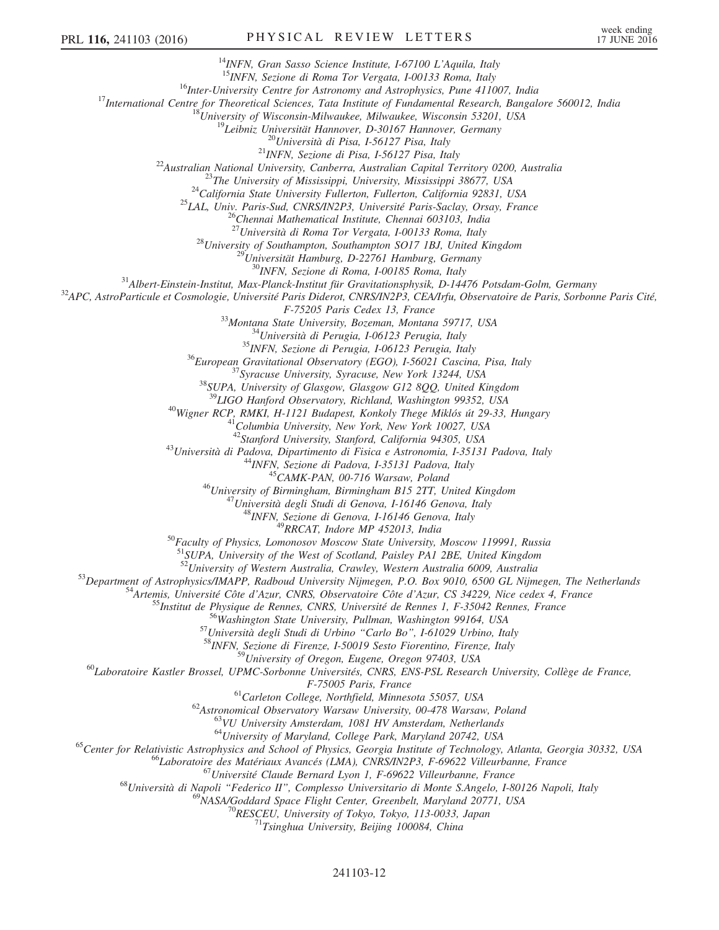<sup>14</sup>INFN, Gran Sasso Science Institute, 1-67100 L'Aquila, Italy<br><sup>15</sup>INFN, Sezione di Roma Tor Vergata, 1-00133 Roma, Italy<br><sup>16</sup>Inter-University Centre for Astronomy and Astrophysics, Pune 411007, India<br><sup>17</sup>International C

<sup>27</sup>Università di Roma Tor Vergata, I-00133 Roma, Italy<br><sup>28</sup>University of Southampton, Southampton SO17 1BJ, United Kingdom<br><sup>29</sup>Universität Hamburg, D-22761 Hamburg, Germany<br><sup>30</sup>INFN, Sezione di Roma, I-00185 Roma, Italy<br>

F-75205 Paris Cedex 13, France<br><sup>33</sup>Montana State University, Bozeman, Montana 59717, USA<br><sup>34</sup>Università di Perugia, I-06123 Perugia, Italy<br><sup>35</sup>INFN, Sezione di Perugia, I-06123 Perugia, Italy<br><sup>36</sup>European Gravitational Obs

<sup>40</sup>Wigner RCP, RMKI, H-1121 Budapest, Konkoly Thege Miklós út 29-33, Hungary <sup>41</sup>Columbia University, New York, New York 10027, USA <sup>42</sup>Stanford University, Stanford, California 94305, USA

<sup>43</sup>Università di Padova, Dipartimento di Fisica e Astronomia, I-35131 Padova, Italy<br><sup>44</sup>INFN, Sezione di Padova, I-35131 Padova, Italy<br><sup>45</sup>CAMK-PAN, 00-716 Warsaw, Poland<br><sup>46</sup>University of Birmingham, Birmingham B15 2TT,

<sup>51</sup>SUPA, University of the West of Scotland, Paisley PA1 2BE, United Kingdom  $^{52}$ University of Western Australia, Crawley, Western Australia 6009, Australia

<sup>53</sup>Department of Astrophysics/IMAPP, Radboud University Nijmegen, P.O. Box 9010, 6500 GL Nijmegen, The Netherlands<br><sup>54</sup>Artemis, Université Côte d'Azur, CNRS, Observatoire Côte d'Azur, CS 34229, Nice cedex 4, France<br><sup>55</sup>I

<sup>60</sup>Laboratoire Kastler Brossel, UPMC-Sorbonne Universités, CNRS, ENS-PSL Research University, Collège de France,

F-75005 Paris, France<br><sup>61</sup>Carleton College, Northfield, Minnesota 55057, USA<br><sup>62</sup>Astronomical Observatory Warsaw University, 00-478 Warsaw, Poland<br><sup>63</sup>VU University Amsterdam, 1081 HV Amsterdam, Netherlands<br><sup>64</sup>University

<sup>65</sup>Center for Relativistic Astrophysics and School of Physics, Georgia Institute of Technology, Atlanta, Georgia 30332, USA<br><sup>66</sup>Laboratoire des Matériaux Avancés (LMA), CNRS/IN2P3, F-69622 Villeurbanne, France<br><sup>67</sup>Univer

<sup>59</sup>NASA/Goddard Space Flight Center, Greenbelt, Maryland 20771, USA<br><sup>70</sup>RESCEU, University of Tokyo, Tokyo, 113-0033, Japan<br><sup>71</sup>Tsinghua University, Beijing 100084, China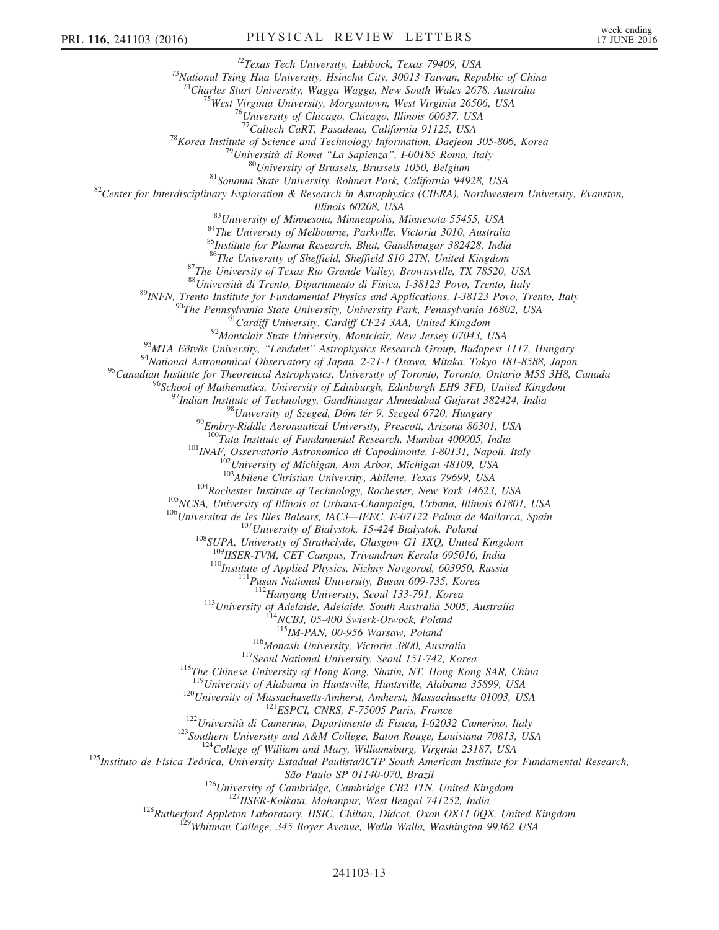<sup>72</sup>Texas Tech University, Lubbock, Texas 79409, USA<br><sup>73</sup>National Tsing Hua University, Hsinchu City, 30013 Taiwan, Republic of China <sup>74</sup>Charles Sturt University, Wagga Wagga, New South Wales 2678, Australia <sup>75</sup>West Virginia University, Morgantown, West Virginia 26506, USA <sup>76</sup>University of Chicago, Chicago, Illinois 60637, USA <sup>77</sup>Caltech CaRT, Pasad <sup>78</sup> Korea Institute of Science and Technology Information, Daejeon 305-806, Korea<br><sup>79</sup> Università di Roma "La Sapienza", I-00185 Roma, Italy<br><sup>80</sup> University of Brussels, Brussels 1050, Belgium<br><sup>81</sup> Sonoma State Universit Illinois 60208, USA<br><sup>83</sup>University of Minnesota, Minneapolis, Minnesota 55455, USA<br><sup>84</sup>The University of Melbourne, Parkville, Victoria 3010, Australia<br><sup>85</sup>Institute for Plasma Research, Bhat, Gandhinagar 382428, India<br><sup>86</sup> 87The University of Texas Rio Grande Valley, Brownsville, TX 78520, USA<br>88 Università di Trento, Dipartimento di Fisica, I-38123 Povo, Trento, Italy <sup>89</sup>INFN, Trento Institute for Fundamental Physics and Applications, I-38123 Povo, Trento, Italy<br><sup>90</sup>The Pennsylvania State University, University Park, Pennsylvania 16802, USA<br><sup>91</sup>Cardiff University, Cardiff CF24 3AA, Un <sup>95</sup>Canadian Institute for Theoretical Astrophysics, University of Toronto, Toronto, Ontario M5S 3H8, Canada <sup>96</sup>School of Mathematics, University of Edinburgh, Edinburgh EH9 3FD, United Kingdom<br><sup>97</sup>Indian Institute of Technology, Gandhinagar Ahmedabad Gujarat 382424, India<br><sup>98</sup>University of Szeged, Dóm tér 9, Szeged 6720, Hunga <sup>101</sup>INAF, Osservatorio Astronomico di Capodimonte, I-80131, Napoli, Italy<br><sup>102</sup>University of Michigan, Ann Arbor, Michigan 48109, USA<br><sup>103</sup>Abilene Christian University, Abilene, Texas 79699, USA<br><sup>104</sup>Rochester Institute <sup>110</sup>Institute of Applied Physics, Nizhny Novgorod, 603950, Russia <sup>111</sup>Pusan National University, Busan 609-735, Korea <sup>112</sup>Hanyang University, Seoul 133-791, Korea <sup>113</sup>University of Adelaide, Adelaide, South Australia 5005, Australia<br><sup>114</sup>NCBJ, 05-400 Świerk-Otwock, Poland<br><sup>115</sup>IM-PAN, 00-956 Warsaw, Poland<br><sup>116</sup>Monash University, Victoria 3800, Australia<br><sup>117</sup>Seoul National Univer <sup>120</sup>University of Massachusetts-Amherst, Amherst, Massachusetts 01003, USA<br><sup>121</sup>LSPCI, CNRS, F-75005 Paris, France<br><sup>122</sup>Università di Camerino, Dipartimento di Fisica, I-62032 Camerino, Italy<br><sup>123</sup>Southern University and

São Paulo SP 01140-070, Brazil<br><sup>126</sup>University of Cambridge, Cambridge CB2 1TN, United Kingdom<br><sup>127</sup>IISER-Kolkata, Mohanpur, West Bengal 741252, India<br><sup>128</sup>Rutherford Appleton Laboratory, HSIC, Chilton, Didcot, Oxon OX11 0